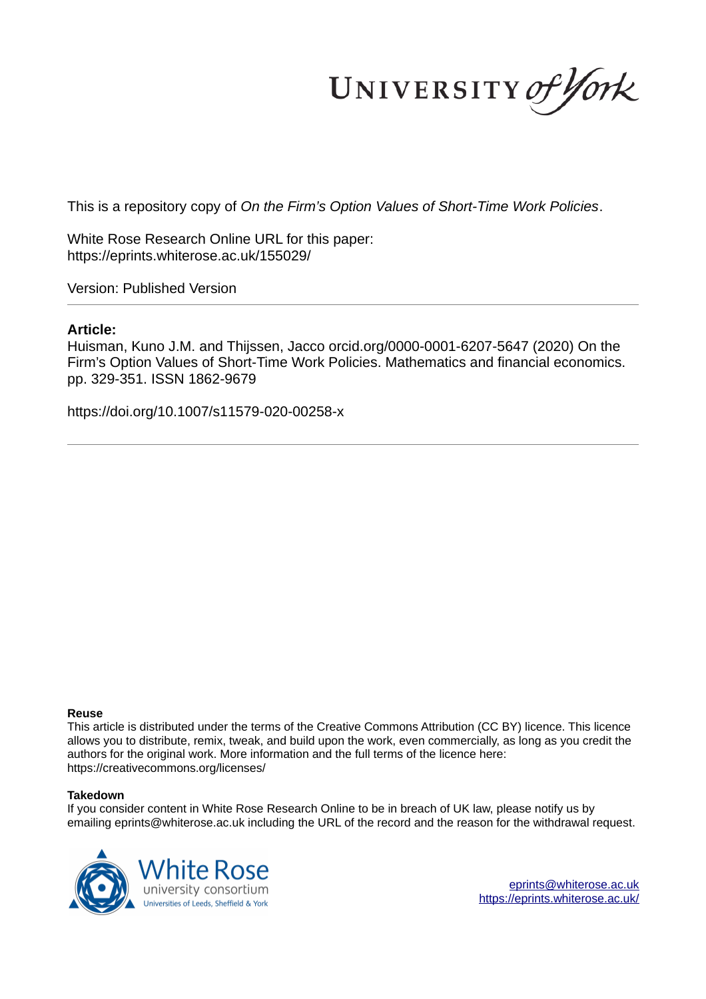UNIVERSITY of York

This is a repository copy of *On the Firm's Option Values of Short-Time Work Policies*.

White Rose Research Online URL for this paper: https://eprints.whiterose.ac.uk/155029/

Version: Published Version

# **Article:**

Huisman, Kuno J.M. and Thijssen, Jacco orcid.org/0000-0001-6207-5647 (2020) On the Firm's Option Values of Short-Time Work Policies. Mathematics and financial economics. pp. 329-351. ISSN 1862-9679

https://doi.org/10.1007/s11579-020-00258-x

## **Reuse**

This article is distributed under the terms of the Creative Commons Attribution (CC BY) licence. This licence allows you to distribute, remix, tweak, and build upon the work, even commercially, as long as you credit the authors for the original work. More information and the full terms of the licence here: https://creativecommons.org/licenses/

## **Takedown**

If you consider content in White Rose Research Online to be in breach of UK law, please notify us by emailing eprints@whiterose.ac.uk including the URL of the record and the reason for the withdrawal request.

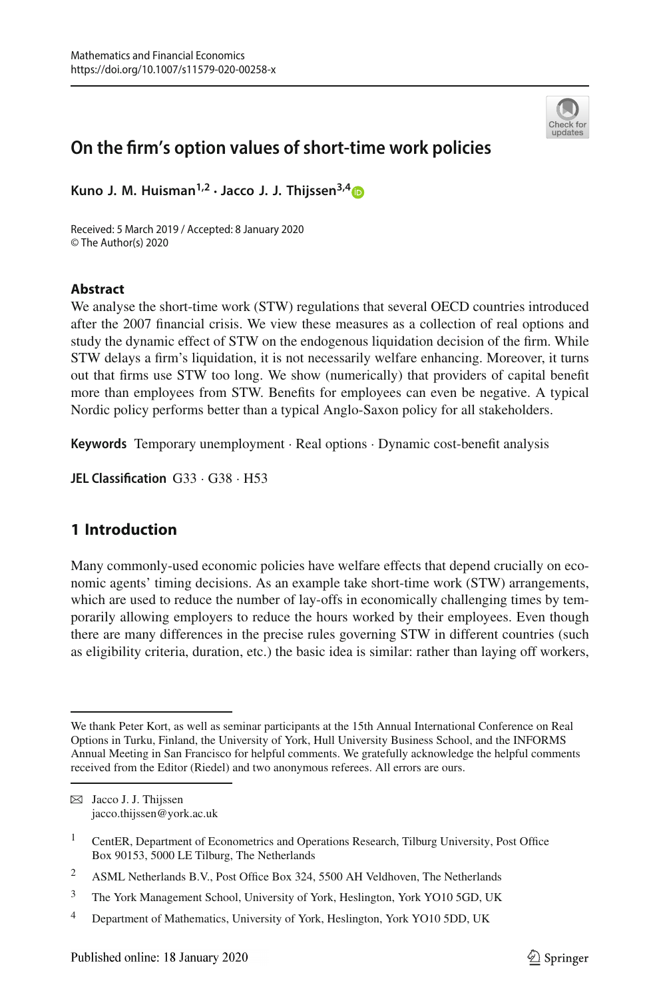

# **On the firm's option values of short-time work policies**

**Kuno J. M. Huisman1,2** · **Jacco J. J. Thijssen3,[4](http://orcid.org/0000-0001-6207-5647)**

Received: 5 March 2019 / Accepted: 8 January 2020 © The Author(s) 2020

#### **Abstract**

We analyse the short-time work (STW) regulations that several OECD countries introduced after the 2007 financial crisis. We view these measures as a collection of real options and study the dynamic effect of STW on the endogenous liquidation decision of the firm. While STW delays a firm's liquidation, it is not necessarily welfare enhancing. Moreover, it turns out that firms use STW too long. We show (numerically) that providers of capital benefit more than employees from STW. Benefits for employees can even be negative. A typical Nordic policy performs better than a typical Anglo-Saxon policy for all stakeholders.

**Keywords** Temporary unemployment · Real options · Dynamic cost-benefit analysis

**JEL Classification** G33 · G38 · H53

## <span id="page-1-0"></span>**1 Introduction**

Many commonly-used economic policies have welfare effects that depend crucially on economic agents' timing decisions. As an example take short-time work (STW) arrangements, which are used to reduce the number of lay-offs in economically challenging times by temporarily allowing employers to reduce the hours worked by their employees. Even though there are many differences in the precise rules governing STW in different countries (such as eligibility criteria, duration, etc.) the basic idea is similar: rather than laying off workers,

B Jacco J. J. Thijssen jacco.thijssen@york.ac.uk

<sup>3</sup> The York Management School, University of York, Heslington, York YO10 5GD, UK

We thank Peter Kort, as well as seminar participants at the 15th Annual International Conference on Real Options in Turku, Finland, the University of York, Hull University Business School, and the INFORMS Annual Meeting in San Francisco for helpful comments. We gratefully acknowledge the helpful comments received from the Editor (Riedel) and two anonymous referees. All errors are ours.

<sup>&</sup>lt;sup>1</sup> CentER, Department of Econometrics and Operations Research, Tilburg University, Post Office Box 90153, 5000 LE Tilburg, The Netherlands

<sup>&</sup>lt;sup>2</sup> ASML Netherlands B.V., Post Office Box 324, 5500 AH Veldhoven, The Netherlands

<sup>4</sup> Department of Mathematics, University of York, Heslington, York YO10 5DD, UK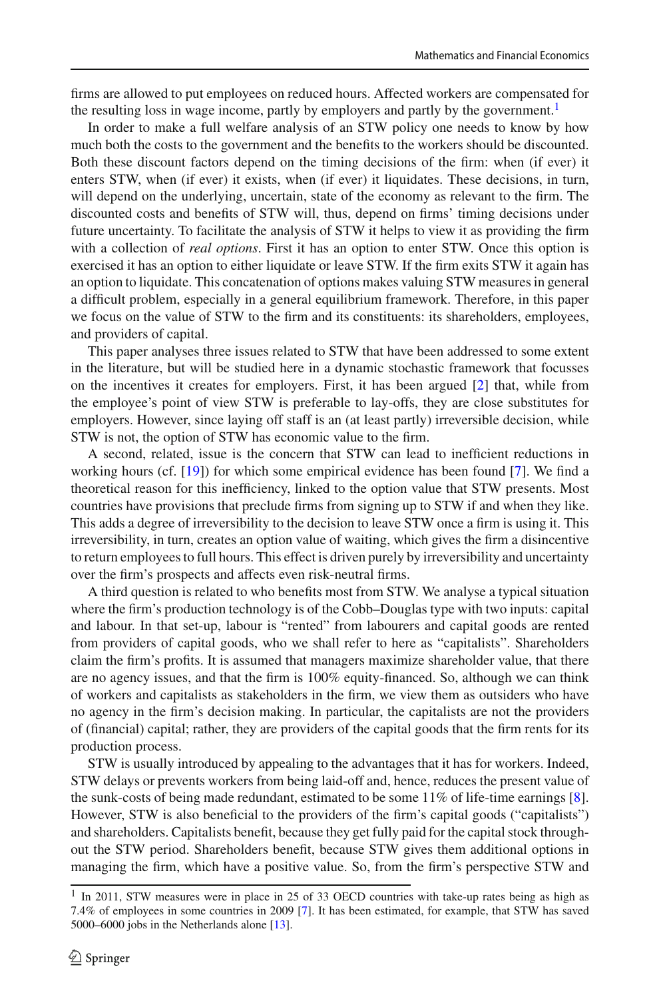firms are allowed to put employees on reduced hours. Affected workers are compensated for the resulting loss in wage income, partly by employers and partly by the government.<sup>[1](#page-2-0)</sup>

In order to make a full welfare analysis of an STW policy one needs to know by how much both the costs to the government and the benefits to the workers should be discounted. Both these discount factors depend on the timing decisions of the firm: when (if ever) it enters STW, when (if ever) it exists, when (if ever) it liquidates. These decisions, in turn, will depend on the underlying, uncertain, state of the economy as relevant to the firm. The discounted costs and benefits of STW will, thus, depend on firms' timing decisions under future uncertainty. To facilitate the analysis of STW it helps to view it as providing the firm with a collection of *real options*. First it has an option to enter STW. Once this option is exercised it has an option to either liquidate or leave STW. If the firm exits STW it again has an option to liquidate. This concatenation of options makes valuing STW measures in general a difficult problem, especially in a general equilibrium framework. Therefore, in this paper we focus on the value of STW to the firm and its constituents: its shareholders, employees, and providers of capital.

This paper analyses three issues related to STW that have been addressed to some extent in the literature, but will be studied here in a dynamic stochastic framework that focusses on the incentives it creates for employers. First, it has been argued [\[2\]](#page-22-0) that, while from the employee's point of view STW is preferable to lay-offs, they are close substitutes for employers. However, since laying off staff is an (at least partly) irreversible decision, while STW is not, the option of STW has economic value to the firm.

A second, related, issue is the concern that STW can lead to inefficient reductions in working hours (cf. [\[19](#page-23-0)]) for which some empirical evidence has been found [\[7](#page-22-1)]. We find a theoretical reason for this inefficiency, linked to the option value that STW presents. Most countries have provisions that preclude firms from signing up to STW if and when they like. This adds a degree of irreversibility to the decision to leave STW once a firm is using it. This irreversibility, in turn, creates an option value of waiting, which gives the firm a disincentive to return employees to full hours. This effect is driven purely by irreversibility and uncertainty over the firm's prospects and affects even risk-neutral firms.

A third question is related to who benefits most from STW. We analyse a typical situation where the firm's production technology is of the Cobb–Douglas type with two inputs: capital and labour. In that set-up, labour is "rented" from labourers and capital goods are rented from providers of capital goods, who we shall refer to here as "capitalists". Shareholders claim the firm's profits. It is assumed that managers maximize shareholder value, that there are no agency issues, and that the firm is 100% equity-financed. So, although we can think of workers and capitalists as stakeholders in the firm, we view them as outsiders who have no agency in the firm's decision making. In particular, the capitalists are not the providers of (financial) capital; rather, they are providers of the capital goods that the firm rents for its production process.

STW is usually introduced by appealing to the advantages that it has for workers. Indeed, STW delays or prevents workers from being laid-off and, hence, reduces the present value of the sunk-costs of being made redundant, estimated to be some 11% of life-time earnings [\[8\]](#page-22-2). However, STW is also beneficial to the providers of the firm's capital goods ("capitalists") and shareholders. Capitalists benefit, because they get fully paid for the capital stock throughout the STW period. Shareholders benefit, because STW gives them additional options in managing the firm, which have a positive value. So, from the firm's perspective STW and

<span id="page-2-0"></span><sup>&</sup>lt;sup>1</sup> In 2011, STW measures were in place in 25 of 33 OECD countries with take-up rates being as high as 7.4% of employees in some countries in 2009 [\[7](#page-22-1)]. It has been estimated, for example, that STW has saved 5000–6000 jobs in the Netherlands alone [\[13\]](#page-23-1).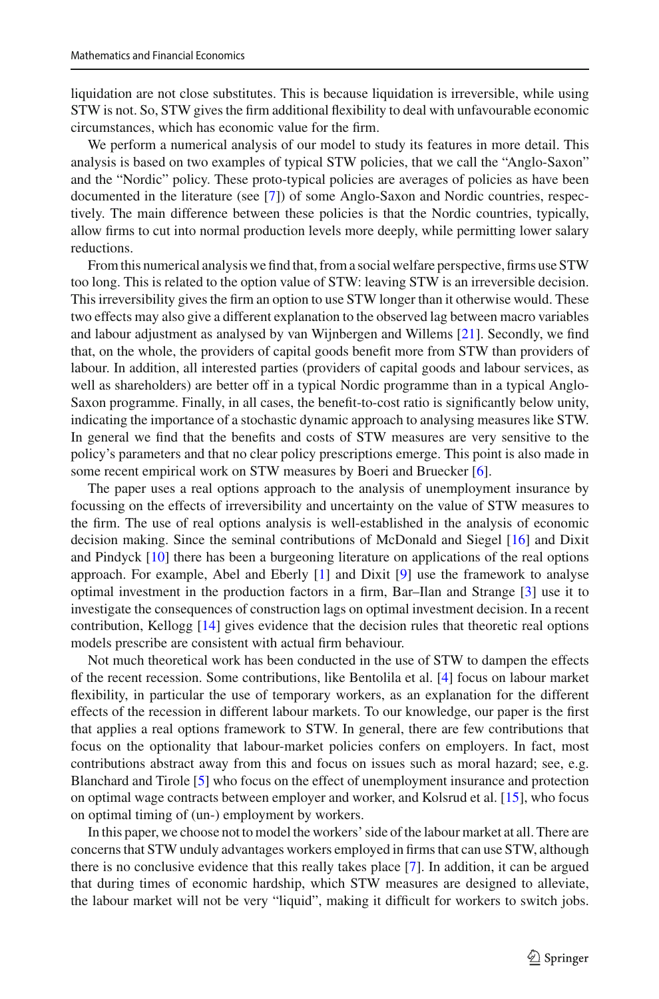liquidation are not close substitutes. This is because liquidation is irreversible, while using STW is not. So, STW gives the firm additional flexibility to deal with unfavourable economic circumstances, which has economic value for the firm.

We perform a numerical analysis of our model to study its features in more detail. This analysis is based on two examples of typical STW policies, that we call the "Anglo-Saxon" and the "Nordic" policy. These proto-typical policies are averages of policies as have been documented in the literature (see [\[7\]](#page-22-1)) of some Anglo-Saxon and Nordic countries, respectively. The main difference between these policies is that the Nordic countries, typically, allow firms to cut into normal production levels more deeply, while permitting lower salary reductions.

From this numerical analysis we find that, from a social welfare perspective, firms use STW too long. This is related to the option value of STW: leaving STW is an irreversible decision. This irreversibility gives the firm an option to use STW longer than it otherwise would. These two effects may also give a different explanation to the observed lag between macro variables and labour adjustment as analysed by van Wijnbergen and Willems [\[21](#page-23-2)]. Secondly, we find that, on the whole, the providers of capital goods benefit more from STW than providers of labour. In addition, all interested parties (providers of capital goods and labour services, as well as shareholders) are better off in a typical Nordic programme than in a typical Anglo-Saxon programme. Finally, in all cases, the benefit-to-cost ratio is significantly below unity, indicating the importance of a stochastic dynamic approach to analysing measures like STW. In general we find that the benefits and costs of STW measures are very sensitive to the policy's parameters and that no clear policy prescriptions emerge. This point is also made in some recent empirical work on STW measures by Boeri and Bruecker [\[6\]](#page-22-3).

The paper uses a real options approach to the analysis of unemployment insurance by focussing on the effects of irreversibility and uncertainty on the value of STW measures to the firm. The use of real options analysis is well-established in the analysis of economic decision making. Since the seminal contributions of McDonald and Siegel [\[16\]](#page-23-3) and Dixit and Pindyck [\[10\]](#page-22-4) there has been a burgeoning literature on applications of the real options approach. For example, Abel and Eberly [\[1](#page-22-5)] and Dixit [\[9\]](#page-22-6) use the framework to analyse optimal investment in the production factors in a firm, Bar–Ilan and Strange [\[3\]](#page-22-7) use it to investigate the consequences of construction lags on optimal investment decision. In a recent contribution, Kellogg [\[14](#page-23-4)] gives evidence that the decision rules that theoretic real options models prescribe are consistent with actual firm behaviour.

Not much theoretical work has been conducted in the use of STW to dampen the effects of the recent recession. Some contributions, like Bentolila et al. [\[4](#page-22-8)] focus on labour market flexibility, in particular the use of temporary workers, as an explanation for the different effects of the recession in different labour markets. To our knowledge, our paper is the first that applies a real options framework to STW. In general, there are few contributions that focus on the optionality that labour-market policies confers on employers. In fact, most contributions abstract away from this and focus on issues such as moral hazard; see, e.g. Blanchard and Tirole [\[5\]](#page-22-9) who focus on the effect of unemployment insurance and protection on optimal wage contracts between employer and worker, and Kolsrud et al. [\[15\]](#page-23-5), who focus on optimal timing of (un-) employment by workers.

In this paper, we choose not to model the workers' side of the labour market at all. There are concerns that STW unduly advantages workers employed in firms that can use STW, although there is no conclusive evidence that this really takes place [\[7\]](#page-22-1). In addition, it can be argued that during times of economic hardship, which STW measures are designed to alleviate, the labour market will not be very "liquid", making it difficult for workers to switch jobs.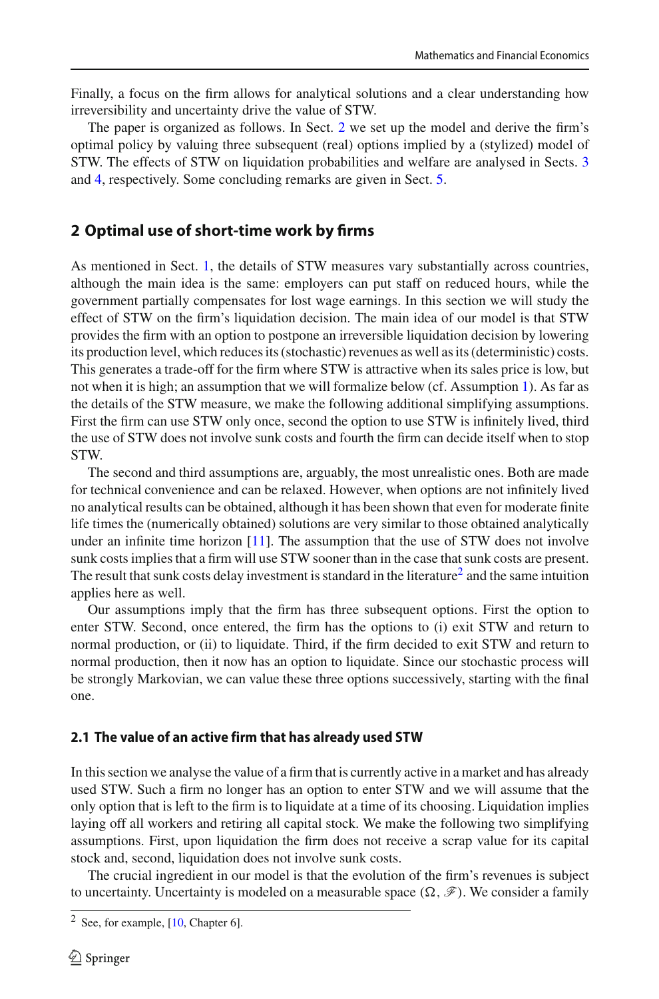Finally, a focus on the firm allows for analytical solutions and a clear understanding how irreversibility and uncertainty drive the value of STW.

The paper is organized as follows. In Sect. [2](#page-4-0) we set up the model and derive the firm's optimal policy by valuing three subsequent (real) options implied by a (stylized) model of STW. The effects of STW on liquidation probabilities and welfare are analysed in Sects. [3](#page-8-0) and [4,](#page-12-0) respectively. Some concluding remarks are given in Sect. [5.](#page-16-0)

# <span id="page-4-0"></span>**2 Optimal use of short-time work by firms**

As mentioned in Sect. [1,](#page-1-0) the details of STW measures vary substantially across countries, although the main idea is the same: employers can put staff on reduced hours, while the government partially compensates for lost wage earnings. In this section we will study the effect of STW on the firm's liquidation decision. The main idea of our model is that STW provides the firm with an option to postpone an irreversible liquidation decision by lowering its production level, which reduces its (stochastic) revenues as well as its (deterministic) costs. This generates a trade-off for the firm where STW is attractive when its sales price is low, but not when it is high; an assumption that we will formalize below (cf. Assumption [1\)](#page-6-0). As far as the details of the STW measure, we make the following additional simplifying assumptions. First the firm can use STW only once, second the option to use STW is infinitely lived, third the use of STW does not involve sunk costs and fourth the firm can decide itself when to stop STW.

The second and third assumptions are, arguably, the most unrealistic ones. Both are made for technical convenience and can be relaxed. However, when options are not infinitely lived no analytical results can be obtained, although it has been shown that even for moderate finite life times the (numerically obtained) solutions are very similar to those obtained analytically under an infinite time horizon  $[11]$ . The assumption that the use of STW does not involve sunk costs implies that a firm will use STW sooner than in the case that sunk costs are present. The result that sunk costs delay investment is standard in the literature<sup>[2](#page-4-1)</sup> and the same intuition applies here as well.

Our assumptions imply that the firm has three subsequent options. First the option to enter STW. Second, once entered, the firm has the options to (i) exit STW and return to normal production, or (ii) to liquidate. Third, if the firm decided to exit STW and return to normal production, then it now has an option to liquidate. Since our stochastic process will be strongly Markovian, we can value these three options successively, starting with the final one.

## **2.1 The value of an active firm that has already used STW**

In this section we analyse the value of a firm that is currently active in a market and has already used STW. Such a firm no longer has an option to enter STW and we will assume that the only option that is left to the firm is to liquidate at a time of its choosing. Liquidation implies laying off all workers and retiring all capital stock. We make the following two simplifying assumptions. First, upon liquidation the firm does not receive a scrap value for its capital stock and, second, liquidation does not involve sunk costs.

The crucial ingredient in our model is that the evolution of the firm's revenues is subject to uncertainty. Uncertainty is modeled on a measurable space  $(\Omega, \mathscr{F})$ . We consider a family

<span id="page-4-1"></span><sup>2</sup> See, for example, [\[10](#page-22-4), Chapter 6].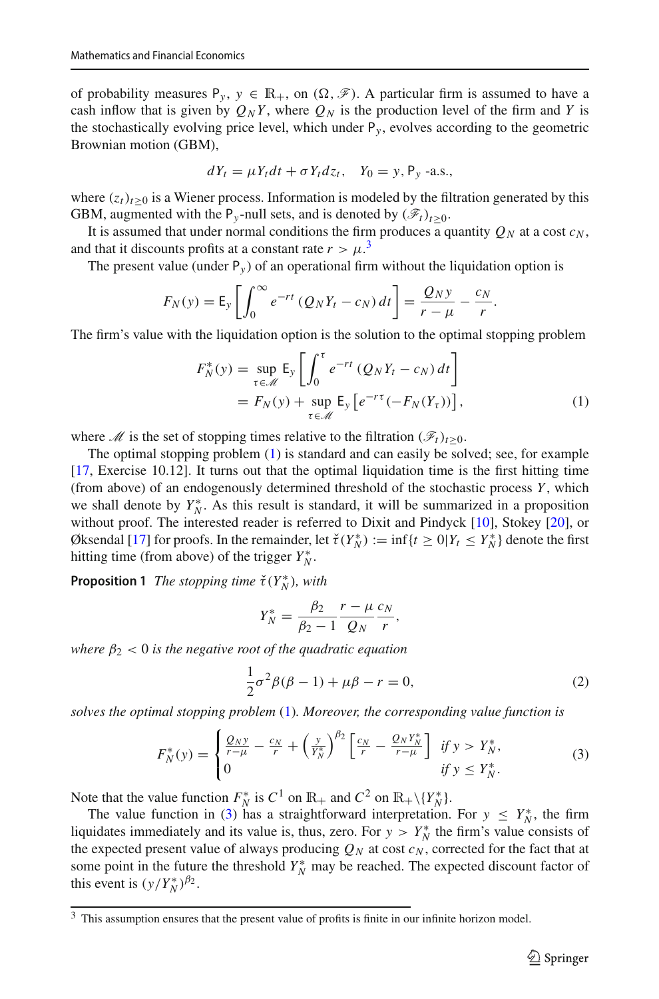of probability measures  $P_y$ ,  $y \in \mathbb{R}_+$ , on  $(\Omega, \mathscr{F})$ . A particular firm is assumed to have a cash inflow that is given by  $Q_N Y$ , where  $Q_N$  is the production level of the firm and *Y* is the stochastically evolving price level, which under  $P_y$ , evolves according to the geometric Brownian motion (GBM),

$$
dY_t = \mu Y_t dt + \sigma Y_t dz_t, \quad Y_0 = y, \mathsf{P}_y \text{ -a.s.},
$$

where  $(z_t)_{t>0}$  is a Wiener process. Information is modeled by the filtration generated by this GBM, augmented with the P<sub>y</sub>-null sets, and is denoted by  $(\mathscr{F}_t)_{t\geq0}$ .

It is assumed that under normal conditions the firm produces a quantity  $Q_N$  at a cost  $c_N$ , and that it discounts profits at a constant rate  $r > \mu$ <sup>[3](#page-5-0)</sup>

The present value (under  $P_y$ ) of an operational firm without the liquidation option is

$$
F_N(y) = \mathsf{E}_y \left[ \int_0^\infty e^{-rt} \left( Q_N Y_t - c_N \right) dt \right] = \frac{Q_N y}{r - \mu} - \frac{c_N}{r}.
$$

The firm's value with the liquidation option is the solution to the optimal stopping problem

<span id="page-5-1"></span>
$$
F_N^*(y) = \sup_{\tau \in \mathcal{M}} \mathsf{E}_y \left[ \int_0^{\tau} e^{-rt} \left( Q_N Y_t - c_N \right) dt \right]
$$
  
=  $F_N(y) + \sup_{\tau \in \mathcal{M}} \mathsf{E}_y \left[ e^{-r\tau} \left( -F_N(Y_\tau) \right) \right],$  (1)

where *M* is the set of stopping times relative to the filtration  $(\mathscr{F}_t)_{t>0}$ .

The optimal stopping problem [\(1\)](#page-5-1) is standard and can easily be solved; see, for example [\[17,](#page-23-6) Exercise 10.12]. It turns out that the optimal liquidation time is the first hitting time (from above) of an endogenously determined threshold of the stochastic process *Y* , which we shall denote by  $Y_N^*$ . As this result is standard, it will be summarized in a proposition without proof. The interested reader is referred to Dixit and Pindyck [\[10\]](#page-22-4), Stokey [\[20\]](#page-23-7), or Øksendal [\[17\]](#page-23-6) for proofs. In the remainder, let  $\check{\tau}(Y_N^*) := \inf\{t \ge 0 | Y_t \le Y_N^*\}$  denote the first hitting time (from above) of the trigger  $Y_N^*$ .

**Proposition 1** *The stopping time*  $\check{\tau}(Y_N^*)$ *, with* 

$$
Y_N^* = \frac{\beta_2}{\beta_2 - 1} \frac{r - \mu}{Q_N} \frac{c_N}{r},
$$

*where*  $\beta_2$  < 0 *is the negative root of the quadratic equation* 

<span id="page-5-3"></span>
$$
\frac{1}{2}\sigma^2 \beta (\beta - 1) + \mu \beta - r = 0,
$$
\n(2)

*solves the optimal stopping problem* [\(1\)](#page-5-1)*. Moreover, the corresponding value function is*

<span id="page-5-2"></span>
$$
F_N^*(y) = \begin{cases} \frac{Q_N y}{r - \mu} - \frac{c_N}{r} + \left(\frac{y}{Y_N^*}\right)^{\beta_2} \left[\frac{c_N}{r} - \frac{Q_N Y_N^*}{r - \mu}\right] & \text{if } y > Y_N^*,\\ 0 & \text{if } y \le Y_N^*.\end{cases} \tag{3}
$$

Note that the value function  $F_N^*$  is  $C^1$  on  $\mathbb{R}_+$  and  $C^2$  on  $\mathbb{R}_+\setminus \{Y_N^*\}$ .

The value function in [\(3\)](#page-5-2) has a straightforward interpretation. For  $y \leq Y_N^*$ , the firm liquidates immediately and its value is, thus, zero. For  $y > Y_N^*$  the firm's value consists of the expected present value of always producing  $Q_N$  at cost  $c_N$ , corrected for the fact that at some point in the future the threshold  $Y_N^*$  may be reached. The expected discount factor of this event is  $(y/Y_N^*)^{\beta_2}$ .

<span id="page-5-0"></span><sup>&</sup>lt;sup>3</sup> This assumption ensures that the present value of profits is finite in our infinite horizon model.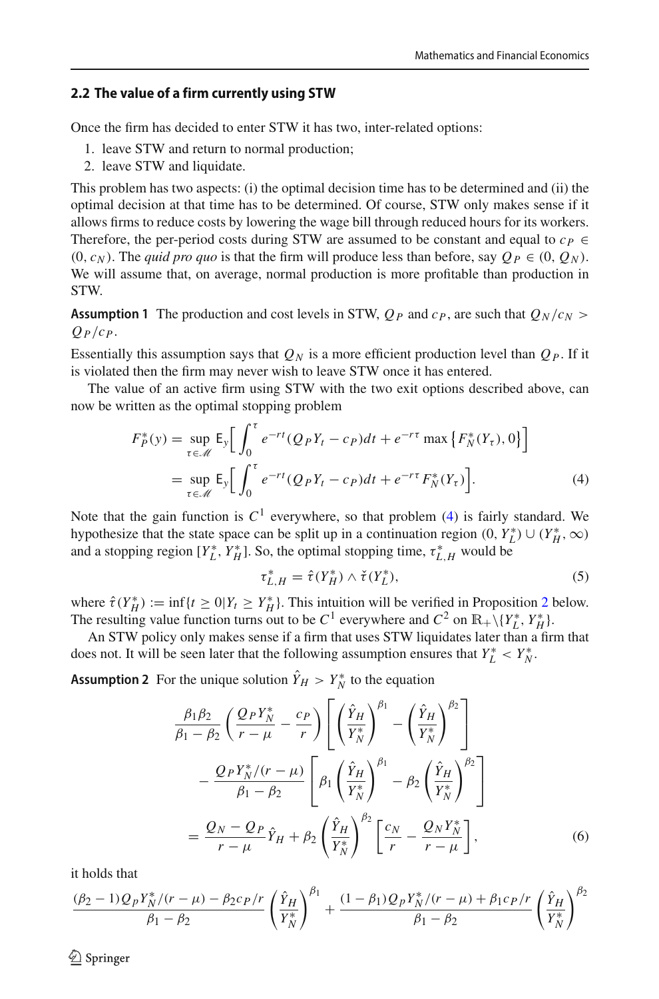#### **2.2 The value of a firm currently using STW**

Once the firm has decided to enter STW it has two, inter-related options:

- 1. leave STW and return to normal production;
- 2. leave STW and liquidate.

This problem has two aspects: (i) the optimal decision time has to be determined and (ii) the optimal decision at that time has to be determined. Of course, STW only makes sense if it allows firms to reduce costs by lowering the wage bill through reduced hours for its workers. Therefore, the per-period costs during STW are assumed to be constant and equal to  $c_p \in$  $(0, c_N)$ . The *quid pro quo* is that the firm will produce less than before, say  $Q_P \in (0, Q_N)$ . We will assume that, on average, normal production is more profitable than production in STW.

<span id="page-6-0"></span>**Assumption 1** The production and cost levels in STW,  $Q_P$  and  $c_P$ , are such that  $Q_N/c_N$  $Q_P/c_P$ .

Essentially this assumption says that  $Q_N$  is a more efficient production level than  $Q_P$ . If it is violated then the firm may never wish to leave STW once it has entered.

The value of an active firm using STW with the two exit options described above, can now be written as the optimal stopping problem

$$
F_P^*(y) = \sup_{\tau \in \mathcal{M}} \mathsf{E}_y \bigg[ \int_0^{\tau} e^{-rt} (Q_P Y_t - c_P) dt + e^{-r\tau} \max \{ F_N^*(Y_\tau), 0 \} \bigg]
$$
  
= 
$$
\sup_{\tau \in \mathcal{M}} \mathsf{E}_y \bigg[ \int_0^{\tau} e^{-rt} (Q_P Y_t - c_P) dt + e^{-r\tau} F_N^*(Y_\tau) \bigg].
$$
 (4)

Note that the gain function is  $C^1$  everywhere, so that problem [\(4\)](#page-6-1) is fairly standard. We hypothesize that the state space can be split up in a continuation region  $(0, Y_L^*) \cup (Y_H^*, \infty)$ and a stopping region  $[Y_L^*, Y_H^*]$ . So, the optimal stopping time,  $\tau_{L,H}^*$  would be

<span id="page-6-3"></span><span id="page-6-2"></span><span id="page-6-1"></span>
$$
\tau_{L,H}^* = \hat{\tau}(Y_H^*) \wedge \check{\tau}(Y_L^*),\tag{5}
$$

where  $\hat{\tau}(Y_H^*) := \inf\{t \ge 0 | Y_t \ge Y_H^*\}$ . This intuition will be verified in Proposition [2](#page-7-0) below. The resulting value function turns out to be  $C^1$  everywhere and  $C^2$  on  $\mathbb{R}_+ \setminus \{Y_L^*, Y_H^*\}$ .

An STW policy only makes sense if a firm that uses STW liquidates later than a firm that does not. It will be seen later that the following assumption ensures that  $Y_L^* < Y_N^*$ .

**Assumption 2** For the unique solution  $Y_H > Y_N^*$  to the equation

$$
\frac{\beta_1 \beta_2}{\beta_1 - \beta_2} \left( \frac{Q_P Y_N^*}{r - \mu} - \frac{c_P}{r} \right) \left[ \left( \frac{\hat{Y}_H}{Y_N^*} \right)^{\beta_1} - \left( \frac{\hat{Y}_H}{Y_N^*} \right)^{\beta_2} \right] \n- \frac{Q_P Y_N^* / (r - \mu)}{\beta_1 - \beta_2} \left[ \beta_1 \left( \frac{\hat{Y}_H}{Y_N^*} \right)^{\beta_1} - \beta_2 \left( \frac{\hat{Y}_H}{Y_N^*} \right)^{\beta_2} \right] \n= \frac{Q_N - Q_P}{r - \mu} \hat{Y}_H + \beta_2 \left( \frac{\hat{Y}_H}{Y_N^*} \right)^{\beta_2} \left[ \frac{c_N}{r} - \frac{Q_N Y_N^*}{r - \mu} \right],
$$
\n(6)

it holds that

$$
\frac{(\beta_2 - 1)Q_P Y_N^* / (r - \mu) - \beta_2 c_P / r}{\beta_1 - \beta_2} \left( \frac{\hat{Y}_H}{Y_N^*} \right)^{\beta_1} + \frac{(1 - \beta_1)Q_P Y_N^* / (r - \mu) + \beta_1 c_P / r}{\beta_1 - \beta_2} \left( \frac{\hat{Y}_H}{Y_N^*} \right)^{\beta_2}
$$

 $\circledcirc$  Springer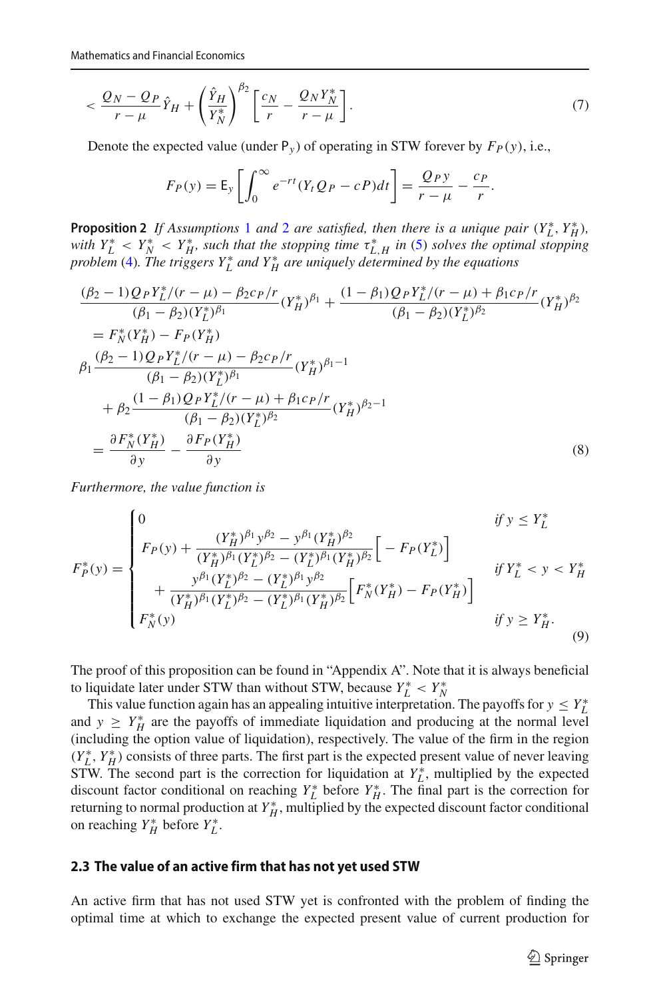$$
\langle \frac{Q_N - Q_P}{r - \mu} \hat{Y}_H + \left(\frac{\hat{Y}_H}{Y_N^*}\right)^{\beta_2} \left[\frac{c_N}{r} - \frac{Q_N Y_N^*}{r - \mu}\right].\tag{7}
$$

Denote the expected value (under  $P_y$ ) of operating in STW forever by  $F_p(y)$ , i.e.,

<span id="page-7-2"></span><span id="page-7-1"></span>
$$
F_P(y) = \mathsf{E}_y \left[ \int_0^\infty e^{-rt} (Y_t Q_P - cP) dt \right] = \frac{Q_P y}{r - \mu} - \frac{c_P}{r}.
$$

<span id="page-7-0"></span>**Proposition [2](#page-6-2)** If Assumptions [1](#page-6-0) and 2 are satisfied, then there is a unique pair  $(Y_L^*, Y_H^*)$ , *with*  $Y_L^* < Y_N^* < Y_H^*$ , such that the stopping time  $\tau_{L,H}^*$  in [\(5\)](#page-6-3) solves the optimal stopping *problem* [\(4\)](#page-6-1)*. The triggers Y* ∗ *L and Y* ∗ *H are uniquely determined by the equations*

$$
\frac{(\beta_2 - 1)Q_P Y_L^*/(r - \mu) - \beta_2 c_P/r}{(\beta_1 - \beta_2)(Y_L^*)^{\beta_1}} (Y_H^*)^{\beta_1} + \frac{(1 - \beta_1)Q_P Y_L^*/(r - \mu) + \beta_1 c_P/r}{(\beta_1 - \beta_2)(Y_L^*)^{\beta_2}} (Y_H^*)^{\beta_2}
$$
\n
$$
= F_N^*(Y_H^*) - F_P(Y_H^*)
$$
\n
$$
\beta_1 \frac{(\beta_2 - 1)Q_P Y_L^*/(r - \mu) - \beta_2 c_P/r}{(\beta_1 - \beta_2)(Y_L^*)^{\beta_1}} (Y_H^*)^{\beta_1 - 1}
$$
\n
$$
+ \beta_2 \frac{(1 - \beta_1)Q_P Y_L^*/(r - \mu) + \beta_1 c_P/r}{(\beta_1 - \beta_2)(Y_L^*)^{\beta_2}} (Y_H^*)^{\beta_2 - 1}
$$
\n
$$
= \frac{\partial F_N^*(Y_H^*)}{\partial y} - \frac{\partial F_P(Y_H^*)}{\partial y}
$$
\n(8)

*Furthermore, the value function is*

$$
F_P^*(y) = \begin{cases} 0 & \text{if } y \le Y_L^* \\ F_P(y) + \frac{(Y_H^*)^{\beta_1} y^{\beta_2} - y^{\beta_1} (Y_H^*)^{\beta_2}}{(Y_H^*)^{\beta_1} (Y_L^*)^{\beta_2} - (Y_L^*)^{\beta_1} (Y_H^*)^{\beta_2}} \Big[ -F_P(Y_L^*) \Big] \\ & \text{if } Y_L^* < y < Y_H^* \\ + \frac{y^{\beta_1} (Y_L^*)^{\beta_2} - (Y_L^*)^{\beta_1} y^{\beta_2}}{(Y_H^*)^{\beta_1} (Y_L^*)^{\beta_2} - (Y_L^*)^{\beta_1} (Y_H^*)^{\beta_2}} \Big[ F_N^*(Y_H^*) - F_P(Y_H^*) \Big] \\ & \text{if } y \ge Y_H^*. \end{cases} \tag{9}
$$

The proof of this proposition can be found in "Appendix A". Note that it is always beneficial to liquidate later under STW than without STW, because  $Y_L^* < Y_N^*$ 

This value function again has an appealing intuitive interpretation. The payoffs for  $y \leq Y_L^*$ and  $y \geq Y_H^*$  are the payoffs of immediate liquidation and producing at the normal level (including the option value of liquidation), respectively. The value of the firm in the region  $(Y_L^*, Y_H^*)$  consists of three parts. The first part is the expected present value of never leaving STW. The second part is the correction for liquidation at  $Y_L^*$ , multiplied by the expected discount factor conditional on reaching  $Y_L^*$  before  $Y_H^*$ . The final part is the correction for returning to normal production at  $Y_H^*$ , multiplied by the expected discount factor conditional on reaching  $Y_H^*$  before  $Y_L^*$ .

#### **2.3 The value of an active firm that has not yet used STW**

An active firm that has not used STW yet is confronted with the problem of finding the optimal time at which to exchange the expected present value of current production for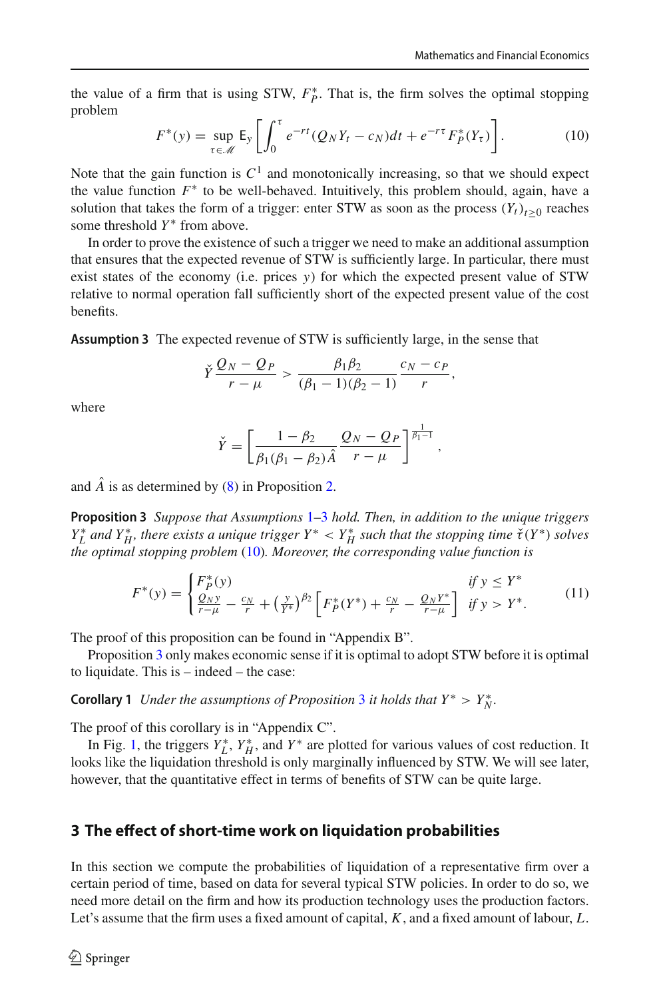the value of a firm that is using STW,  $F_P^*$ . That is, the firm solves the optimal stopping problem

<span id="page-8-2"></span>
$$
F^*(y) = \sup_{\tau \in \mathcal{M}} \mathsf{E}_y \left[ \int_0^{\tau} e^{-rt} (Q_N Y_t - c_N) dt + e^{-r\tau} F_P^*(Y_\tau) \right]. \tag{10}
$$

Note that the gain function is  $C<sup>1</sup>$  and monotonically increasing, so that we should expect the value function  $F^*$  to be well-behaved. Intuitively, this problem should, again, have a solution that takes the form of a trigger: enter STW as soon as the process  $(Y_t)_{t\geq0}$  reaches some threshold *Y*<sup>∗</sup> from above.

In order to prove the existence of such a trigger we need to make an additional assumption that ensures that the expected revenue of STW is sufficiently large. In particular, there must exist states of the economy (i.e. prices *y*) for which the expected present value of STW relative to normal operation fall sufficiently short of the expected present value of the cost benefits.

<span id="page-8-1"></span>**Assumption 3** The expected revenue of STW is sufficiently large, in the sense that

$$
\check{Y}\frac{Q_N-Q_P}{r-\mu}>\frac{\beta_1\beta_2}{(\beta_1-1)(\beta_2-1)}\frac{c_N-c_P}{r},
$$

where

$$
\check{Y} = \left[ \frac{1 - \beta_2}{\beta_1(\beta_1 - \beta_2)\hat{A}} \frac{Q_N - Q_P}{r - \mu} \right]^{\frac{1}{\beta_1 - 1}},
$$

<span id="page-8-3"></span>and  $\hat{A}$  is as determined by [\(8\)](#page-7-1) in Proposition [2.](#page-7-0)

**Proposition 3** *Suppose that Assumptions* [1](#page-6-0)[–3](#page-8-1) *hold. Then, in addition to the unique triggers Y*<sub>L</sub><sup>\*</sup> and *Y*<sub>H</sub><sup>\*</sup>, there exists a unique trigger *Y*<sup>\*</sup> < *Y*<sub>H</sub><sup>\*</sup> such that the stopping time  $\check{\tau}(Y^*)$  solves *the optimal stopping problem* [\(10\)](#page-8-2)*. Moreover, the corresponding value function is*

<span id="page-8-4"></span>
$$
F^*(y) = \begin{cases} F_P^*(y) & \text{if } y \le Y^*\\ \frac{Q_N y}{r - \mu} - \frac{c_N}{r} + \left(\frac{y}{Y^*}\right)^{\beta_2} \left[ F_P^*(Y^*) + \frac{c_N}{r} - \frac{Q_N Y^*}{r - \mu} \right] & \text{if } y > Y^*. \end{cases} \tag{11}
$$

The proof of this proposition can be found in "Appendix B".

Proposition [3](#page-8-3) only makes economic sense if it is optimal to adopt STW before it is optimal to liquidate. This is – indeed – the case:

**Corollary 1** *Under the assumptions of Proposition* [3](#page-8-3) *it holds that*  $Y^* > Y^*_{N}$ *.* 

The proof of this corollary is in "Appendix C".

In Fig. [1,](#page-9-0) the triggers  $Y_L^*$ ,  $Y_H^*$ , and  $Y^*$  are plotted for various values of cost reduction. It looks like the liquidation threshold is only marginally influenced by STW. We will see later, however, that the quantitative effect in terms of benefits of STW can be quite large.

#### <span id="page-8-0"></span>**3 The effect of short-time work on liquidation probabilities**

In this section we compute the probabilities of liquidation of a representative firm over a certain period of time, based on data for several typical STW policies. In order to do so, we need more detail on the firm and how its production technology uses the production factors. Let's assume that the firm uses a fixed amount of capital, *K*, and a fixed amount of labour, *L*.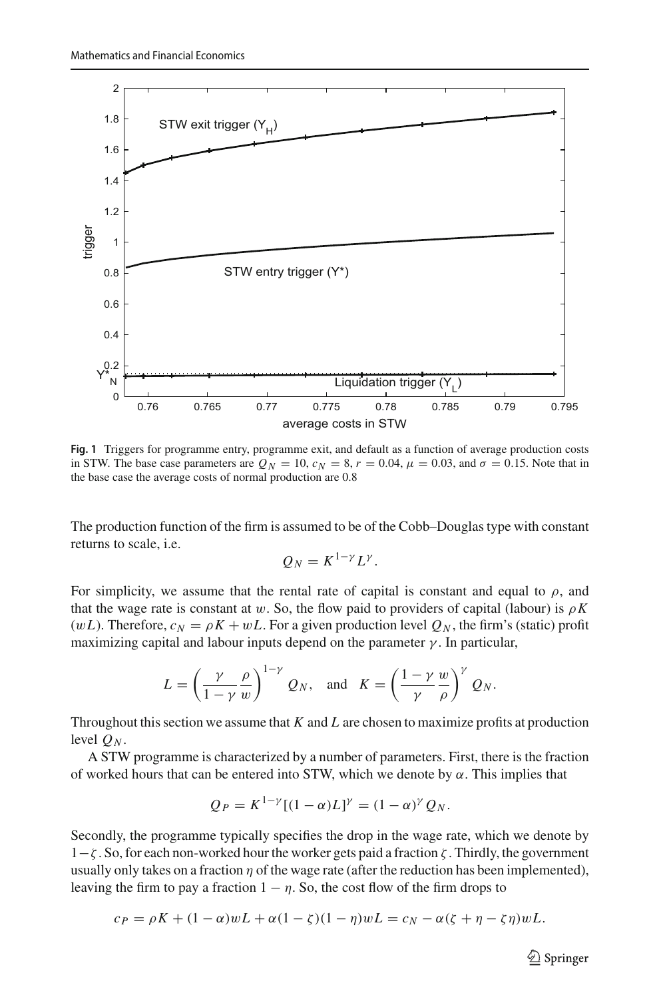

<span id="page-9-0"></span>**Fig. 1** Triggers for programme entry, programme exit, and default as a function of average production costs in STW. The base case parameters are  $Q_N = 10$ ,  $c_N = 8$ ,  $r = 0.04$ ,  $\mu = 0.03$ , and  $\sigma = 0.15$ . Note that in the base case the average costs of normal production are 0.8

The production function of the firm is assumed to be of the Cobb–Douglas type with constant returns to scale, i.e.

$$
Q_N = K^{1-\gamma} L^{\gamma}.
$$

For simplicity, we assume that the rental rate of capital is constant and equal to  $\rho$ , and that the wage rate is constant at w. So, the flow paid to providers of capital (labour) is  $\rho K$ (w*L*). Therefore,  $c_N = \rho K + wL$ . For a given production level  $Q_N$ , the firm's (static) profit maximizing capital and labour inputs depend on the parameter  $\gamma$ . In particular,

$$
L = \left(\frac{\gamma}{1-\gamma}\frac{\rho}{w}\right)^{1-\gamma} Q_N, \text{ and } K = \left(\frac{1-\gamma}{\gamma}\frac{w}{\rho}\right)^{\gamma} Q_N.
$$

Throughout this section we assume that *K* and *L* are chosen to maximize profits at production level  $O_N$ .

A STW programme is characterized by a number of parameters. First, there is the fraction of worked hours that can be entered into STW, which we denote by  $\alpha$ . This implies that

$$
Q_P = K^{1-\gamma}[(1-\alpha)L]^\gamma = (1-\alpha)^\gamma Q_N.
$$

Secondly, the programme typically specifies the drop in the wage rate, which we denote by 1−ζ . So, for each non-worked hour the worker gets paid a fraction ζ . Thirdly, the government usually only takes on a fraction  $\eta$  of the wage rate (after the reduction has been implemented), leaving the firm to pay a fraction  $1 - \eta$ . So, the cost flow of the firm drops to

$$
c_P = \rho K + (1 - \alpha)wL + \alpha(1 - \zeta)(1 - \eta)wL = c_N - \alpha(\zeta + \eta - \zeta\eta)wL.
$$

 $\circled{2}$  Springer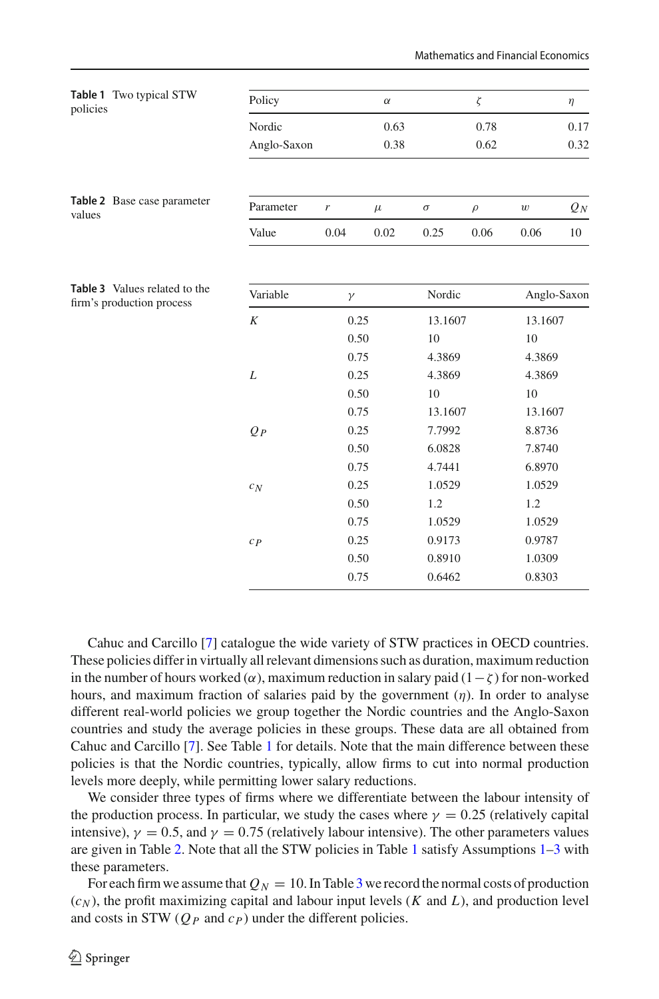<span id="page-10-2"></span><span id="page-10-1"></span><span id="page-10-0"></span>

| Table 1 Two typical STW<br>policies                        | Policy      |          | $\alpha$ |          | $\zeta$ |                  | $\eta$      |  |
|------------------------------------------------------------|-------------|----------|----------|----------|---------|------------------|-------------|--|
|                                                            | Nordic      |          | 0.63     |          | 0.78    |                  | 0.17        |  |
|                                                            | Anglo-Saxon |          | 0.38     |          | 0.62    |                  | 0.32        |  |
|                                                            |             |          |          |          |         |                  |             |  |
| Table 2 Base case parameter<br>values                      | Parameter   | r        | $\mu$    | $\sigma$ | $\rho$  | $\boldsymbol{w}$ | $Q_N$       |  |
|                                                            | Value       | 0.04     | 0.02     | 0.25     | 0.06    | 0.06             | 10          |  |
|                                                            |             |          |          |          |         |                  |             |  |
| Table 3 Values related to the<br>firm's production process | Variable    | $\gamma$ |          | Nordic   |         |                  | Anglo-Saxon |  |
|                                                            | K           | 0.25     |          | 13.1607  |         | 13.1607          |             |  |
|                                                            |             | 0.50     |          | 10       |         | 10               |             |  |
|                                                            |             | 0.75     |          | 4.3869   |         | 4.3869           |             |  |
|                                                            | L           | 0.25     |          | 4.3869   |         | 4.3869           |             |  |
|                                                            |             |          | 0.50     |          | 10      |                  | 10          |  |
|                                                            |             | 0.75     |          | 13.1607  |         | 13.1607          |             |  |
|                                                            | $Q_P$       |          | 0.25     |          | 7.7992  |                  | 8.8736      |  |
|                                                            |             |          | 0.50     |          | 6.0828  |                  | 7.8740      |  |
|                                                            |             | 0.75     |          | 4.7441   |         | 6.8970           |             |  |
|                                                            | $c_N$       | 0.25     |          | 1.0529   |         | 1.0529           |             |  |
|                                                            |             | 0.50     |          | 1.2      |         | 1.2              |             |  |
|                                                            |             | 0.75     |          | 1.0529   |         | 1.0529           |             |  |
|                                                            | $c_{P}$     | 0.25     |          | 0.9173   |         | 0.9787           |             |  |
|                                                            |             | 0.50     |          | 0.8910   |         | 1.0309           |             |  |
|                                                            |             | 0.75     |          | 0.6462   |         | 0.8303           |             |  |

Cahuc and Carcillo [\[7\]](#page-22-1) catalogue the wide variety of STW practices in OECD countries. These policies differ in virtually all relevant dimensions such as duration, maximum reduction in the number of hours worked ( $\alpha$ ), maximum reduction in salary paid (1 –  $\zeta$ ) for non-worked hours, and maximum fraction of salaries paid by the government  $(\eta)$ . In order to analyse different real-world policies we group together the Nordic countries and the Anglo-Saxon countries and study the average policies in these groups. These data are all obtained from Cahuc and Carcillo [\[7](#page-22-1)]. See Table [1](#page-10-0) for details. Note that the main difference between these policies is that the Nordic countries, typically, allow firms to cut into normal production levels more deeply, while permitting lower salary reductions.

We consider three types of firms where we differentiate between the labour intensity of the production process. In particular, we study the cases where  $\gamma = 0.25$  (relatively capital intensive),  $\gamma = 0.5$ , and  $\gamma = 0.75$  (relatively labour intensive). The other parameters values are given in Table [2.](#page-10-1) Note that all the STW policies in Table [1](#page-10-0) satisfy Assumptions [1–](#page-6-0)[3](#page-8-1) with these parameters.

For each firm we assume that  $Q_N = 10$ . In Table [3](#page-10-2) we record the normal costs of production  $(c_N)$ , the profit maximizing capital and labour input levels (*K* and *L*), and production level and costs in STW  $(Q_P \text{ and } c_P)$  under the different policies.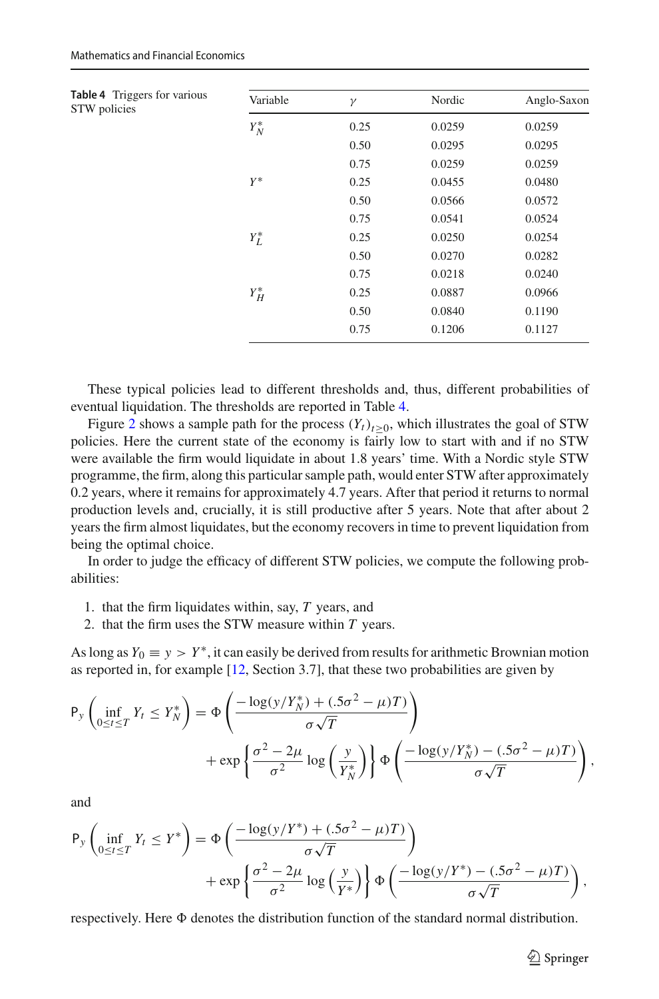<span id="page-11-0"></span>

| <b>Table 4</b> Triggers for various<br>STW policies | Variable   | $\gamma$ | Nordic | Anglo-Saxon |
|-----------------------------------------------------|------------|----------|--------|-------------|
|                                                     | $Y_N^\ast$ | 0.25     | 0.0259 | 0.0259      |
|                                                     |            | 0.50     | 0.0295 | 0.0295      |
|                                                     |            | 0.75     | 0.0259 | 0.0259      |
|                                                     | $Y^*$      | 0.25     | 0.0455 | 0.0480      |
|                                                     |            | 0.50     | 0.0566 | 0.0572      |
|                                                     |            | 0.75     | 0.0541 | 0.0524      |
|                                                     | $Y_L^*$    | 0.25     | 0.0250 | 0.0254      |
|                                                     |            | 0.50     | 0.0270 | 0.0282      |
|                                                     |            | 0.75     | 0.0218 | 0.0240      |
|                                                     | $Y_H^\ast$ | 0.25     | 0.0887 | 0.0966      |
|                                                     |            | 0.50     | 0.0840 | 0.1190      |
|                                                     |            | 0.75     | 0.1206 | 0.1127      |

These typical policies lead to different thresholds and, thus, different probabilities of eventual liquidation. The thresholds are reported in Table [4.](#page-11-0)

Figure [2](#page-12-1) shows a sample path for the process  $(Y_t)_{t\geq0}$ , which illustrates the goal of STW policies. Here the current state of the economy is fairly low to start with and if no STW were available the firm would liquidate in about 1.8 years' time. With a Nordic style STW programme, the firm, along this particular sample path, would enter STW after approximately 0.2 years, where it remains for approximately 4.7 years. After that period it returns to normal production levels and, crucially, it is still productive after 5 years. Note that after about 2 years the firm almost liquidates, but the economy recovers in time to prevent liquidation from being the optimal choice.

In order to judge the efficacy of different STW policies, we compute the following probabilities:

- 1. that the firm liquidates within, say, *T* years, and
- 2. that the firm uses the STW measure within *T* years.

As long as  $Y_0 \equiv y > Y^*$ , it can easily be derived from results for arithmetic Brownian motion as reported in, for example [\[12,](#page-23-8) Section 3.7], that these two probabilities are given by

$$
P_y \left( \inf_{0 \le t \le T} Y_t \le Y_N^* \right) = \Phi \left( \frac{-\log(y/Y_N^*) + (0.5\sigma^2 - \mu)T)}{\sigma\sqrt{T}} \right) + \exp \left\{ \frac{\sigma^2 - 2\mu}{\sigma^2} \log \left( \frac{y}{Y_N^*} \right) \right\} \Phi \left( \frac{-\log(y/Y_N^*) - (0.5\sigma^2 - \mu)T}{\sigma\sqrt{T}} \right),
$$

and

$$
P_y \left( \inf_{0 \le t \le T} Y_t \le Y^* \right) = \Phi \left( \frac{-\log(y/Y^*) + (.5\sigma^2 - \mu)T}{\sigma\sqrt{T}} \right) + \exp \left\{ \frac{\sigma^2 - 2\mu}{\sigma^2} \log \left( \frac{y}{Y^*} \right) \right\} \Phi \left( \frac{-\log(y/Y^*) - (.5\sigma^2 - \mu)T}{\sigma\sqrt{T}} \right),
$$

respectively. Here  $\Phi$  denotes the distribution function of the standard normal distribution.

 $\hat{\mathfrak{D}}$  Springer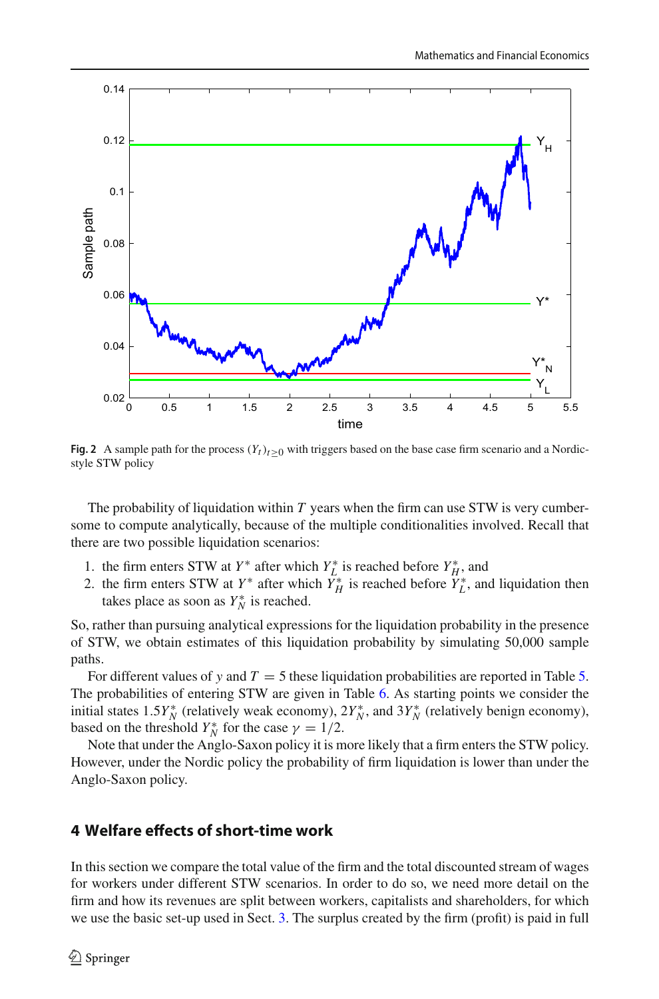

<span id="page-12-1"></span>**Fig. 2** A sample path for the process  $(Y_t)_{t>0}$  with triggers based on the base case firm scenario and a Nordicstyle STW policy

The probability of liquidation within *T* years when the firm can use STW is very cumbersome to compute analytically, because of the multiple conditionalities involved. Recall that there are two possible liquidation scenarios:

- 1. the firm enters STW at  $Y^*$  after which  $Y^*_{L}$  is reached before  $Y^*_{H}$ , and
- 2. the firm enters STW at  $Y^*$  after which  $Y^*_{H}$  is reached before  $Y^*_{L}$ , and liquidation then takes place as soon as  $Y_N^*$  is reached.

So, rather than pursuing analytical expressions for the liquidation probability in the presence of STW, we obtain estimates of this liquidation probability by simulating 50,000 sample paths.

For different values of *y* and  $T = 5$  these liquidation probabilities are reported in Table [5.](#page-13-0) The probabilities of entering STW are given in Table [6.](#page-13-1) As starting points we consider the initial states 1.5*Y*<sup>\*</sup><sub>*N*</sub></sub> (relatively weak economy), 2*Y*<sup>\*</sup><sub>*N*</sub>, and 3*Y*<sup>\*</sup><sub>*N*</sub></sub> (relatively benign economy), based on the threshold  $Y_N^*$  for the case  $\gamma = 1/2$ .

Note that under the Anglo-Saxon policy it is more likely that a firm enters the STW policy. However, under the Nordic policy the probability of firm liquidation is lower than under the Anglo-Saxon policy.

# <span id="page-12-0"></span>**4 Welfare effects of short-time work**

In this section we compare the total value of the firm and the total discounted stream of wages for workers under different STW scenarios. In order to do so, we need more detail on the firm and how its revenues are split between workers, capitalists and shareholders, for which we use the basic set-up used in Sect. [3.](#page-8-0) The surplus created by the firm (profit) is paid in full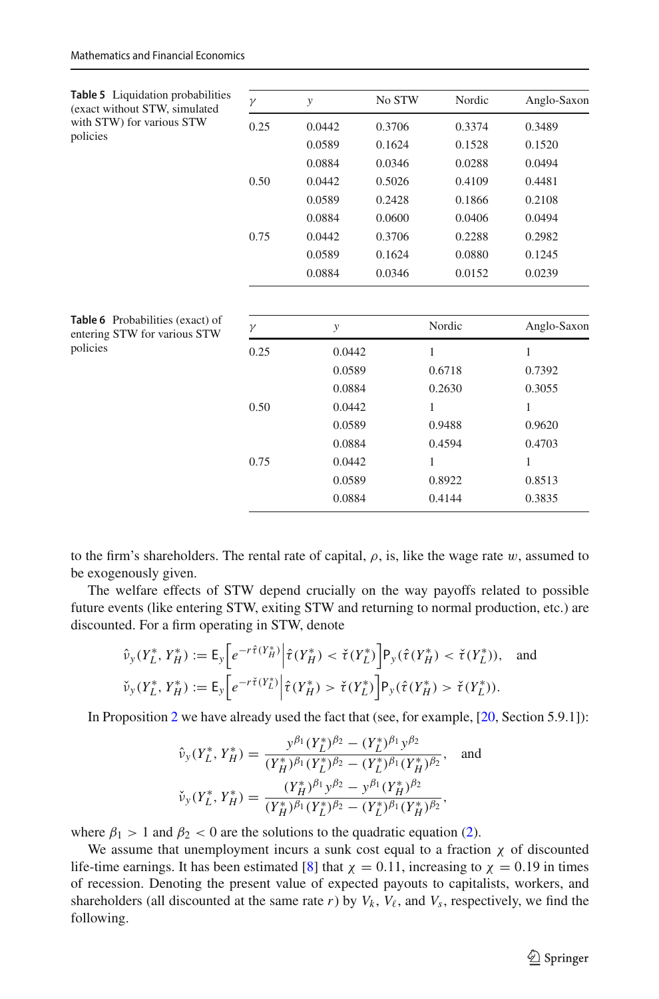<span id="page-13-1"></span><span id="page-13-0"></span>

| <b>Table 5</b> Liquidation probabilities<br>(exact without STW, simulated<br>with STW) for various STW | $\gamma$ | $\mathcal{Y}$ | No STW | Nordic       | Anglo-Saxon |
|--------------------------------------------------------------------------------------------------------|----------|---------------|--------|--------------|-------------|
|                                                                                                        | 0.25     | 0.0442        | 0.3706 | 0.3374       | 0.3489      |
| policies                                                                                               |          | 0.0589        | 0.1624 | 0.1528       | 0.1520      |
|                                                                                                        |          | 0.0884        | 0.0346 | 0.0288       | 0.0494      |
|                                                                                                        | 0.50     | 0.0442        | 0.5026 | 0.4109       | 0.4481      |
|                                                                                                        |          | 0.0589        | 0.2428 | 0.1866       | 0.2108      |
|                                                                                                        |          | 0.0884        | 0.0600 | 0.0406       | 0.0494      |
|                                                                                                        | 0.75     | 0.0442        | 0.3706 | 0.2288       | 0.2982      |
|                                                                                                        |          | 0.0589        | 0.1624 | 0.0880       | 0.1245      |
|                                                                                                        |          | 0.0884        | 0.0346 | 0.0152       | 0.0239      |
| Table 6 Probabilities (exact) of<br>entering STW for various STW<br>policies                           |          |               |        |              |             |
|                                                                                                        | $\gamma$ | y             |        | Nordic       | Anglo-Saxon |
|                                                                                                        | 0.25     | 0.0442        |        | 1            | 1           |
|                                                                                                        |          | 0.0589        |        | 0.6718       | 0.7392      |
|                                                                                                        |          | 0.0884        |        | 0.2630       | 0.3055      |
|                                                                                                        | 0.50     | 0.0442        |        | 1            | 1           |
|                                                                                                        |          | 0.0589        |        | 0.9488       | 0.9620      |
|                                                                                                        |          | 0.0884        |        | 0.4594       | 0.4703      |
|                                                                                                        | 0.75     | 0.0442        |        | $\mathbf{1}$ | 1           |
|                                                                                                        |          | 0.0589        |        | 0.8922       | 0.8513      |
|                                                                                                        | 0.0884   |               |        | 0.4144       | 0.3835      |

to the firm's shareholders. The rental rate of capital,  $\rho$ , is, like the wage rate w, assumed to be exogenously given.

The welfare effects of STW depend crucially on the way payoffs related to possible future events (like entering STW, exiting STW and returning to normal production, etc.) are discounted. For a firm operating in STW, denote

$$
\hat{\nu}_{y}(Y_{L}^{*}, Y_{H}^{*}) := \mathsf{E}_{y}\bigg[e^{-r\hat{\tau}(Y_{H}^{*})}\bigg|\hat{\tau}(Y_{H}^{*}) < \check{\tau}(Y_{L}^{*})\bigg] \mathsf{P}_{y}(\hat{\tau}(Y_{H}^{*}) < \check{\tau}(Y_{L}^{*})), \text{ and}
$$
\n
$$
\check{\nu}_{y}(Y_{L}^{*}, Y_{H}^{*}) := \mathsf{E}_{y}\bigg[e^{-r\check{\tau}(Y_{L}^{*})}\bigg|\hat{\tau}(Y_{H}^{*}) > \check{\tau}(Y_{L}^{*})\bigg] \mathsf{P}_{y}(\hat{\tau}(Y_{H}^{*}) > \check{\tau}(Y_{L}^{*})).
$$

In Proposition [2](#page-7-0) we have already used the fact that (see, for example, [\[20](#page-23-7), Section 5.9.1]):

$$
\hat{\nu}_y(Y_L^*, Y_H^*) = \frac{y^{\beta_1}(Y_L^*)^{\beta_2} - (Y_L^*)^{\beta_1} y^{\beta_2}}{(Y_H^*)^{\beta_1} (Y_L^*)^{\beta_2} - (Y_L^*)^{\beta_1} (Y_H^*)^{\beta_2}}, \text{ and}
$$
  

$$
\check{\nu}_y(Y_L^*, Y_H^*) = \frac{(Y_H^*)^{\beta_1} y^{\beta_2} - y^{\beta_1} (Y_H^*)^{\beta_2}}{(Y_H^*)^{\beta_1} (Y_L^*)^{\beta_2} - (Y_L^*)^{\beta_1} (Y_H^*)^{\beta_2}},
$$

where  $\beta_1 > 1$  and  $\beta_2 < 0$  are the solutions to the quadratic equation [\(2\)](#page-5-3).

<span id="page-13-2"></span>We assume that unemployment incurs a sunk cost equal to a fraction  $\chi$  of discounted life-time earnings. It has been estimated [\[8](#page-22-2)] that  $\chi = 0.11$ , increasing to  $\chi = 0.19$  in times of recession. Denoting the present value of expected payouts to capitalists, workers, and shareholders (all discounted at the same rate  $r$ ) by  $V_k$ ,  $V_\ell$ , and  $V_s$ , respectively, we find the following.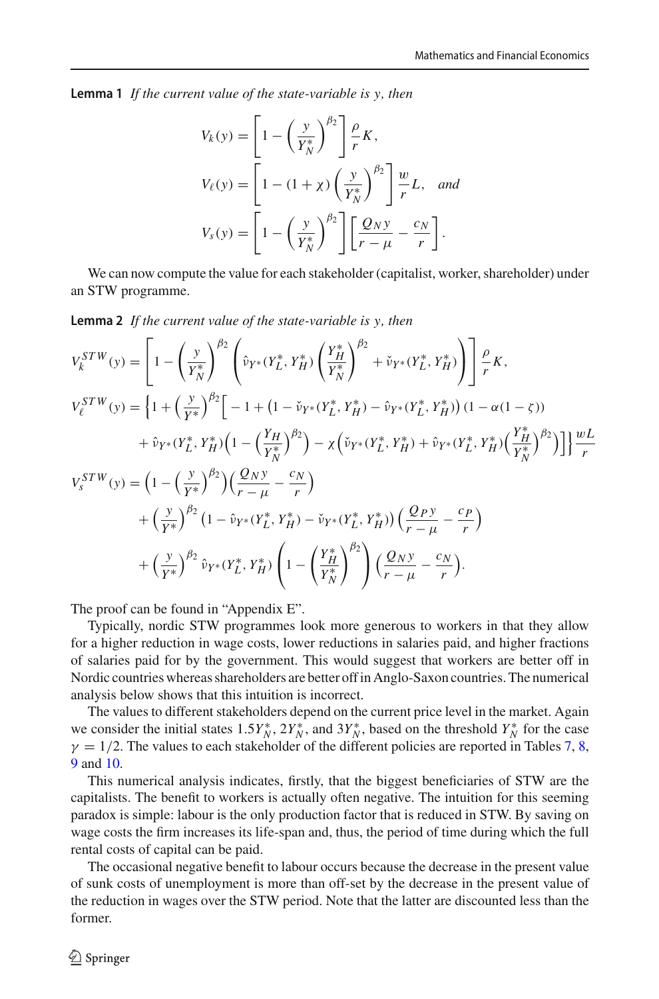**Lemma 1** *If the current value of the state-variable is y, then*

$$
V_k(y) = \left[1 - \left(\frac{y}{Y_N^*}\right)^{\beta_2}\right] \frac{\rho}{r} K,
$$
  
\n
$$
V_\ell(y) = \left[1 - (1 + \chi) \left(\frac{y}{Y_N^*}\right)^{\beta_2}\right] \frac{w}{r} L, \text{ and}
$$
  
\n
$$
V_s(y) = \left[1 - \left(\frac{y}{Y_N^*}\right)^{\beta_2}\right] \left[\frac{Q_N y}{r - \mu} - \frac{c_N}{r}\right].
$$

<span id="page-14-0"></span>We can now compute the value for each stakeholder (capitalist, worker, shareholder) under an STW programme.

**Lemma 2** *If the current value of the state-variable is y, then*

$$
V_{k}^{STW}(y) = \left[1 - \left(\frac{y}{Y_{N}^{*}}\right)^{\beta_{2}} \left(\hat{v}_{Y^{*}}(Y_{L}^{*}, Y_{H}^{*}) \left(\frac{Y_{H}^{*}}{Y_{N}^{*}}\right)^{\beta_{2}} + \check{v}_{Y^{*}}(Y_{L}^{*}, Y_{H}^{*})\right)\right] \frac{\rho}{r} K,
$$
\n
$$
V_{\ell}^{STW}(y) = \left\{1 + \left(\frac{y}{Y^{*}}\right)^{\beta_{2}} \left[-1 + \left(1 - \check{v}_{Y^{*}}(Y_{L}^{*}, Y_{H}^{*}) - \hat{v}_{Y^{*}}(Y_{L}^{*}, Y_{H}^{*})\right) \left(1 - \alpha(1 - \zeta)\right)\right.\right.
$$
\n
$$
+ \hat{v}_{Y^{*}}(Y_{L}^{*}, Y_{H}^{*}) \left(1 - \left(\frac{Y_{H}}{Y_{N}^{*}}\right)^{\beta_{2}}\right) - \chi \left(\check{v}_{Y^{*}}(Y_{L}^{*}, Y_{H}^{*}) + \hat{v}_{Y^{*}}(Y_{L}^{*}, Y_{H}^{*}) \left(\frac{Y_{H}^{*}}{Y_{N}^{*}}\right)^{\beta_{2}}\right)\right]\right\} \frac{wL}{r}
$$
\n
$$
V_{s}^{STW}(y) = \left(1 - \left(\frac{y}{Y^{*}}\right)^{\beta_{2}}\right) \left(\frac{Q_{N}y}{r - \mu} - \frac{c_{N}}{r}\right)
$$
\n
$$
+ \left(\frac{y}{Y^{*}}\right)^{\beta_{2}} \left(1 - \hat{v}_{Y^{*}}(Y_{L}^{*}, Y_{H}^{*}) - \check{v}_{Y^{*}}(Y_{L}^{*}, Y_{H}^{*})\right)\left(\frac{Q_{P}y}{r - \mu} - \frac{c_{P}}{r}\right)
$$
\n
$$
+ \left(\frac{y}{Y^{*}}\right)^{\beta_{2}} \hat{v}_{Y^{*}}(Y_{L}^{*}, Y_{H}^{*}) \left(1 - \left(\frac{Y_{H}^{*}}{Y_{N}^{*}}\right)^{\beta_{2}}\right) \left(\frac{Q_{N}y}{r - \mu} - \frac{c_{N}}{r}\right).
$$

The proof can be found in "Appendix E".

Typically, nordic STW programmes look more generous to workers in that they allow for a higher reduction in wage costs, lower reductions in salaries paid, and higher fractions of salaries paid for by the government. This would suggest that workers are better off in Nordic countries whereas shareholders are better off in Anglo-Saxon countries. The numerical analysis below shows that this intuition is incorrect.

The values to different stakeholders depend on the current price level in the market. Again we consider the initial states  $1.5Y_N^*$ ,  $2Y_N^*$ , and  $3Y_N^*$ , based on the threshold  $Y_N^*$  for the case  $\gamma = 1/2$ . The values to each stakeholder of the different policies are reported in Tables [7,](#page-15-0) [8,](#page-15-1) [9](#page-15-2) and [10.](#page-16-1)

This numerical analysis indicates, firstly, that the biggest beneficiaries of STW are the capitalists. The benefit to workers is actually often negative. The intuition for this seeming paradox is simple: labour is the only production factor that is reduced in STW. By saving on wage costs the firm increases its life-span and, thus, the period of time during which the full rental costs of capital can be paid.

The occasional negative benefit to labour occurs because the decrease in the present value of sunk costs of unemployment is more than off-set by the decrease in the present value of the reduction in wages over the STW period. Note that the latter are discounted less than the former.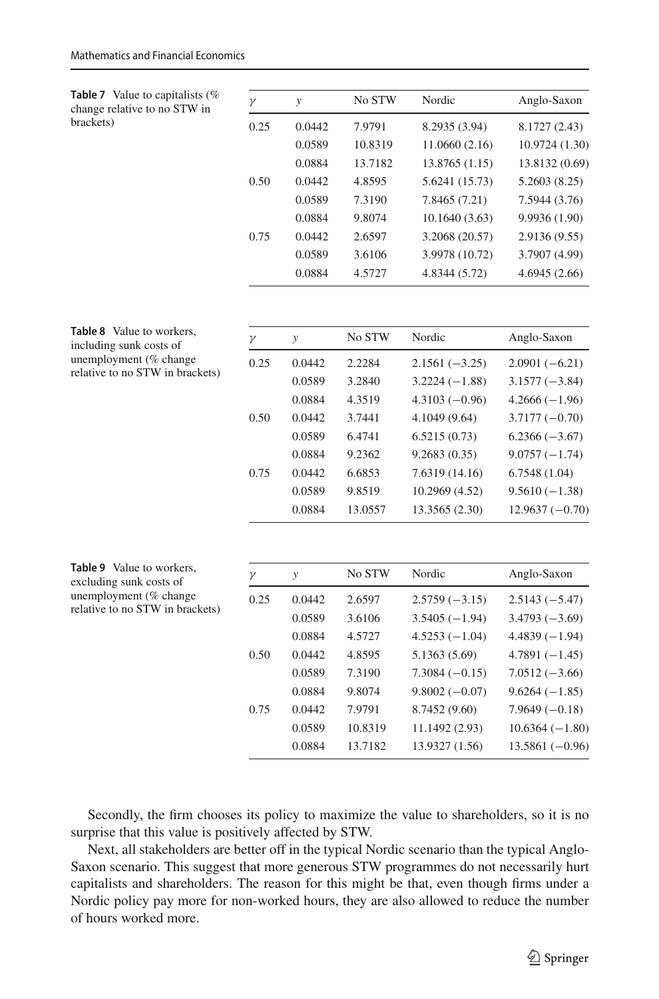<span id="page-15-1"></span>

| <b>Table 8</b> Value to workers,<br>including sunk costs of | $\gamma$ | $\mathbf{y}$  | No STW  | Nordic          | Anglo-Saxon      |
|-------------------------------------------------------------|----------|---------------|---------|-----------------|------------------|
| unemployment (% change                                      | 0.25     | 0.0442        | 2.2284  | $2.1561(-3.25)$ | $2.0901(-6.21)$  |
| relative to no STW in brackets)                             |          | 0.0589        | 3.2840  | $3.2224(-1.88)$ | $3.1577(-3.84)$  |
|                                                             |          | 0.0884        | 4.3519  | $4.3103(-0.96)$ | $4.2666(-1.96)$  |
|                                                             | 0.50     | 0.0442        | 3.7441  | 4.1049 (9.64)   | $3.7177(-0.70)$  |
|                                                             |          | 0.0589        | 6.4741  | 6.5215(0.73)    | $6.2366(-3.67)$  |
|                                                             |          | 0.0884        | 9.2362  | 9.2683(0.35)    | $9.0757(-1.74)$  |
|                                                             | 0.75     | 0.0442        | 6.6853  | 7.6319 (14.16)  | 6.7548(1.04)     |
|                                                             |          | 0.0589        | 9.8519  | 10.2969 (4.52)  | $9.5610(-1.38)$  |
|                                                             |          | 0.0884        | 13.0557 | 13.3565 (2.30)  | $12.9637(-0.70)$ |
|                                                             |          |               |         |                 |                  |
| Table 9 Value to workers,<br>excluding sunk costs of        | $\gamma$ | $\mathcal{Y}$ | No STW  | Nordic          | Anglo-Saxon      |
| unemployment (% change<br>relative to no STW in brackets)   | 0.25     | 0.0442        | 2.6597  | $2.5759(-3.15)$ | $2.5143(-5.47)$  |
|                                                             |          | 0.0589        | 3.6106  | $3.5405(-1.94)$ | $3.4793(-3.69)$  |
|                                                             |          | 0.0884        | 4.5727  | $4.5253(-1.04)$ | $4.4839(-1.94)$  |
|                                                             | 0.50     | 0.0442        | 4.8595  | 5.1363 (5.69)   | $4.7891(-1.45)$  |
|                                                             |          | 0.0589        | 7.3190  | $7.3084(-0.15)$ | $7.0512(-3.66)$  |
|                                                             |          | 0.0884        | 9.8074  | $9.8002(-0.07)$ | $9.6264(-1.85)$  |
|                                                             | 0.75     | 0.0442        | 7.9791  | 8.7452 (9.60)   | $7.9649(-0.18)$  |
|                                                             |          | 0.0589        | 10.8319 | 11.1492 (2.93)  | $10.6364(-1.80)$ |
|                                                             |          | 0.0884        | 13.7182 | 13.9327 (1.56)  | $13.5861(-0.96)$ |

<span id="page-15-0"></span>

|           | <b>Table 7</b> Value to capitalists (% |
|-----------|----------------------------------------|
|           | change relative to no STW in           |
| brackets) |                                        |

| No STW<br>Nordic<br>y<br>γ<br>0.25<br>0.0442<br>7.9791<br>8.2935 (3.94)<br>11.0660(2.16)<br>0.0589<br>10.8319<br>0.0884<br>13.8765 (1.15)<br>13.7182<br>0.0442<br>5.6241 (15.73)<br>0.50<br>4.8595 |                |
|----------------------------------------------------------------------------------------------------------------------------------------------------------------------------------------------------|----------------|
|                                                                                                                                                                                                    | Anglo-Saxon    |
|                                                                                                                                                                                                    | 8.1727 (2.43)  |
|                                                                                                                                                                                                    | 10.9724 (1.30) |
|                                                                                                                                                                                                    | 13.8132 (0.69) |
|                                                                                                                                                                                                    | 5.2603(8.25)   |
| 0.0589<br>7.8465 (7.21)<br>7.3190                                                                                                                                                                  | 7.5944 (3.76)  |
| 0.0884<br>10.1640 (3.63)<br>9.8074                                                                                                                                                                 | 9.9936 (1.90)  |
| 3.2068 (20.57)<br>0.0442<br>2.6597<br>0.75                                                                                                                                                         | 2.9136 (9.55)  |
| 3.9978 (10.72)<br>0.0589<br>3.6106                                                                                                                                                                 | 3.7907 (4.99)  |
| 4.8344 (5.72)<br>0.0884<br>4.5727                                                                                                                                                                  | 4.6945(2.66)   |

<span id="page-15-2"></span>Secondly, the firm chooses its policy to maximize the value to shareholders, so it is no surprise that this value is positively affected by STW.

Next, all stakeholders are better off in the typical Nordic scenario than the typical Anglo-Saxon scenario. This suggest that more generous STW programmes do not necessarily hurt capitalists and shareholders. The reason for this might be that, even though firms under a Nordic policy pay more for non-worked hours, they are also allowed to reduce the number of hours worked more.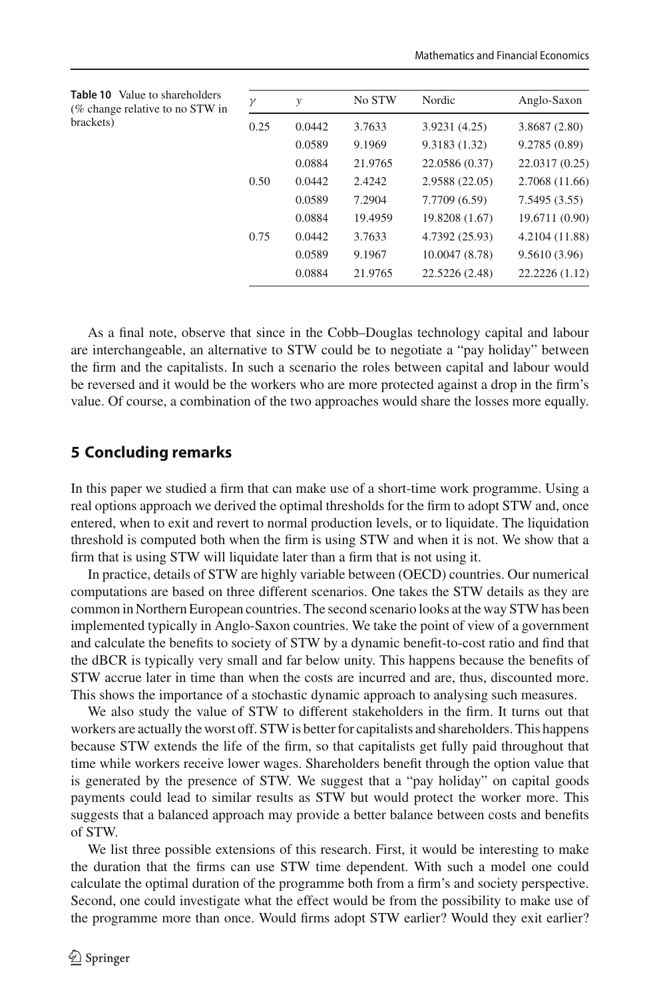<span id="page-16-1"></span>

| <b>Table 10</b> Value to shareholders<br>(% change relative to no STW in<br>brackets) | $\gamma$ | $\mathcal{Y}$ | No STW  | Nordic         | Anglo-Saxon    |
|---------------------------------------------------------------------------------------|----------|---------------|---------|----------------|----------------|
|                                                                                       | 0.25     | 0.0442        | 3.7633  | 3.9231(4.25)   | 3.8687(2.80)   |
|                                                                                       |          | 0.0589        | 9.1969  | 9.3183(1.32)   | 9.2785(0.89)   |
|                                                                                       |          | 0.0884        | 21.9765 | 22.0586 (0.37) | 22.0317 (0.25) |
|                                                                                       | 0.50     | 0.0442        | 2.4242  | 2.9588 (22.05) | 2.7068 (11.66) |
|                                                                                       |          | 0.0589        | 7.2904  | 7.7709 (6.59)  | 7.5495(3.55)   |
|                                                                                       |          | 0.0884        | 19.4959 | 19.8208 (1.67) | 19.6711 (0.90) |
|                                                                                       | 0.75     | 0.0442        | 3.7633  | 4.7392 (25.93) | 4.2104 (11.88) |
|                                                                                       |          | 0.0589        | 9.1967  | 10.0047 (8.78) | 9.5610 (3.96)  |
|                                                                                       |          | 0.0884        | 21.9765 | 22.5226 (2.48) | 22.2226 (1.12) |

As a final note, observe that since in the Cobb–Douglas technology capital and labour are interchangeable, an alternative to STW could be to negotiate a "pay holiday" between the firm and the capitalists. In such a scenario the roles between capital and labour would be reversed and it would be the workers who are more protected against a drop in the firm's value. Of course, a combination of the two approaches would share the losses more equally.

## <span id="page-16-0"></span>**5 Concluding remarks**

In this paper we studied a firm that can make use of a short-time work programme. Using a real options approach we derived the optimal thresholds for the firm to adopt STW and, once entered, when to exit and revert to normal production levels, or to liquidate. The liquidation threshold is computed both when the firm is using STW and when it is not. We show that a firm that is using STW will liquidate later than a firm that is not using it.

In practice, details of STW are highly variable between (OECD) countries. Our numerical computations are based on three different scenarios. One takes the STW details as they are common in Northern European countries. The second scenario looks at the way STW has been implemented typically in Anglo-Saxon countries. We take the point of view of a government and calculate the benefits to society of STW by a dynamic benefit-to-cost ratio and find that the dBCR is typically very small and far below unity. This happens because the benefits of STW accrue later in time than when the costs are incurred and are, thus, discounted more. This shows the importance of a stochastic dynamic approach to analysing such measures.

We also study the value of STW to different stakeholders in the firm. It turns out that workers are actually the worst off. STW is better for capitalists and shareholders. This happens because STW extends the life of the firm, so that capitalists get fully paid throughout that time while workers receive lower wages. Shareholders benefit through the option value that is generated by the presence of STW. We suggest that a "pay holiday" on capital goods payments could lead to similar results as STW but would protect the worker more. This suggests that a balanced approach may provide a better balance between costs and benefits of STW.

We list three possible extensions of this research. First, it would be interesting to make the duration that the firms can use STW time dependent. With such a model one could calculate the optimal duration of the programme both from a firm's and society perspective. Second, one could investigate what the effect would be from the possibility to make use of the programme more than once. Would firms adopt STW earlier? Would they exit earlier?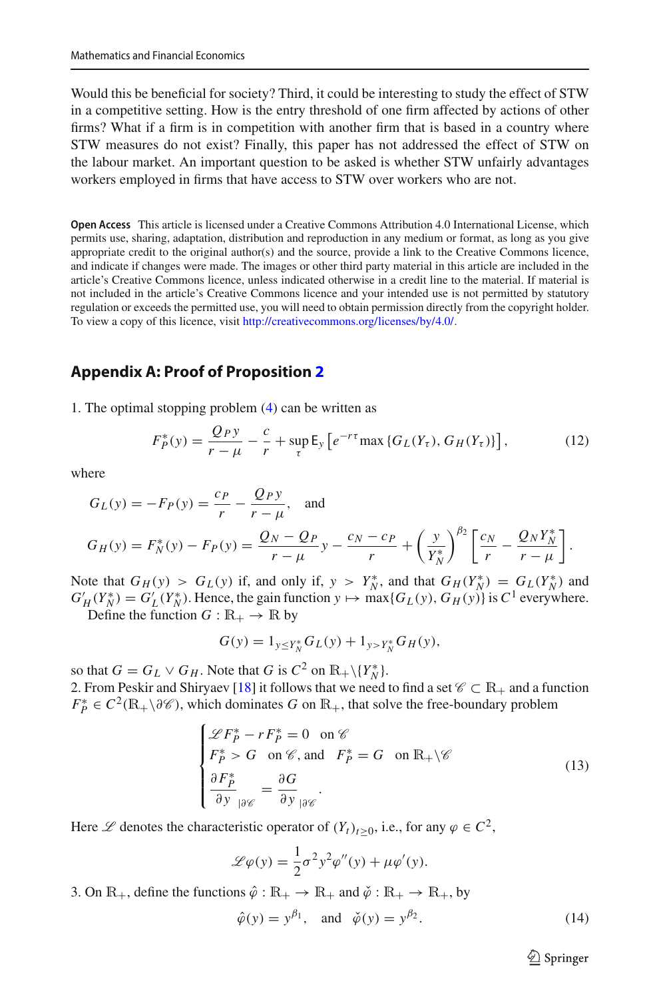Would this be beneficial for society? Third, it could be interesting to study the effect of STW in a competitive setting. How is the entry threshold of one firm affected by actions of other firms? What if a firm is in competition with another firm that is based in a country where STW measures do not exist? Finally, this paper has not addressed the effect of STW on the labour market. An important question to be asked is whether STW unfairly advantages workers employed in firms that have access to STW over workers who are not.

**Open Access** This article is licensed under a Creative Commons Attribution 4.0 International License, which permits use, sharing, adaptation, distribution and reproduction in any medium or format, as long as you give appropriate credit to the original author(s) and the source, provide a link to the Creative Commons licence, and indicate if changes were made. The images or other third party material in this article are included in the article's Creative Commons licence, unless indicated otherwise in a credit line to the material. If material is not included in the article's Creative Commons licence and your intended use is not permitted by statutory regulation or exceeds the permitted use, you will need to obtain permission directly from the copyright holder. To view a copy of this licence, visit [http://creativecommons.org/licenses/by/4.0/.](http://creativecommons.org/licenses/by/4.0/)

#### **Appendix A: Proof of Proposition [2](#page-7-0)**

1. The optimal stopping problem [\(4\)](#page-6-1) can be written as

$$
F_P^*(y) = \frac{Q_P y}{r - \mu} - \frac{c}{r} + \sup_{\tau} \mathsf{E}_y \left[ e^{-r\tau} \max \left\{ G_L(Y_\tau), G_H(Y_\tau) \right\} \right],\tag{12}
$$

where

$$
G_L(y) = -F_P(y) = \frac{c_P}{r} - \frac{Q_P y}{r - \mu}, \text{ and}
$$
  
\n
$$
G_H(y) = F_N^*(y) - F_P(y) = \frac{Q_N - Q_P}{r - \mu} y - \frac{c_N - c_P}{r} + \left(\frac{y}{Y_N^*}\right)^{\beta_2} \left[\frac{c_N}{r} - \frac{Q_N Y_N^*}{r - \mu}\right].
$$

Note that  $G_H(y) > G_L(y)$  if, and only if,  $y > Y_N^*$ , and that  $G_H(Y_N^*) = G_L(Y_N^*)$  and  $G'_H(Y_N^*) = G'_L(Y_N^*)$ . Hence, the gain function  $y \mapsto \max\{G_L(y), G_H(y)\}$  is  $C^1$  everywhere.

Define the function  $G : \mathbb{R}_+ \to \mathbb{R}$  by

$$
G(y) = 1_{y \le Y_N^*} G_L(y) + 1_{y > Y_N^*} G_H(y),
$$

so that  $G = G_L \vee G_H$ . Note that *G* is  $C^2$  on  $\mathbb{R}_+ \setminus \{Y_N^*\}.$ 2. From Peskir and Shiryaev [\[18\]](#page-23-9) it follows that we need to find a set  $\mathscr{C} \subset \mathbb{R}_+$  and a function  $F_P^* \in C^2(\mathbb{R}_+ \setminus \partial \mathcal{C})$ , which dominates *G* on  $\mathbb{R}_+$ , that solve the free-boundary problem

<span id="page-17-0"></span>
$$
\begin{cases}\n\mathcal{L}F_P^* - rF_P^* = 0 \quad \text{on } \mathscr{C} \\
F_P^* > G \quad \text{on } \mathscr{C}, \text{ and } F_P^* = G \quad \text{on } \mathbb{R}_+ \backslash \mathscr{C} \\
\frac{\partial F_P^*}{\partial y} = \frac{\partial G}{\partial y} \\
\frac{\partial G}{\partial y} = \frac{\partial G}{\partial y} \quad \text{(13)}\n\end{cases}
$$

Here  $\mathscr L$  denotes the characteristic operator of  $(Y_t)_{t \geq 0}$ , i.e., for any  $\varphi \in C^2$ ,

$$
\mathcal{L}\varphi(y) = \frac{1}{2}\sigma^2 y^2 \varphi''(y) + \mu \varphi'(y).
$$

3. On  $\mathbb{R}_+$ , define the functions  $\hat{\varphi} : \mathbb{R}_+ \to \mathbb{R}_+$  and  $\check{\varphi} : \mathbb{R}_+ \to \mathbb{R}_+$ , by

$$
\hat{\varphi}(y) = y^{\beta_1}
$$
, and  $\check{\varphi}(y) = y^{\beta_2}$ . (14)

 $\circled{2}$  Springer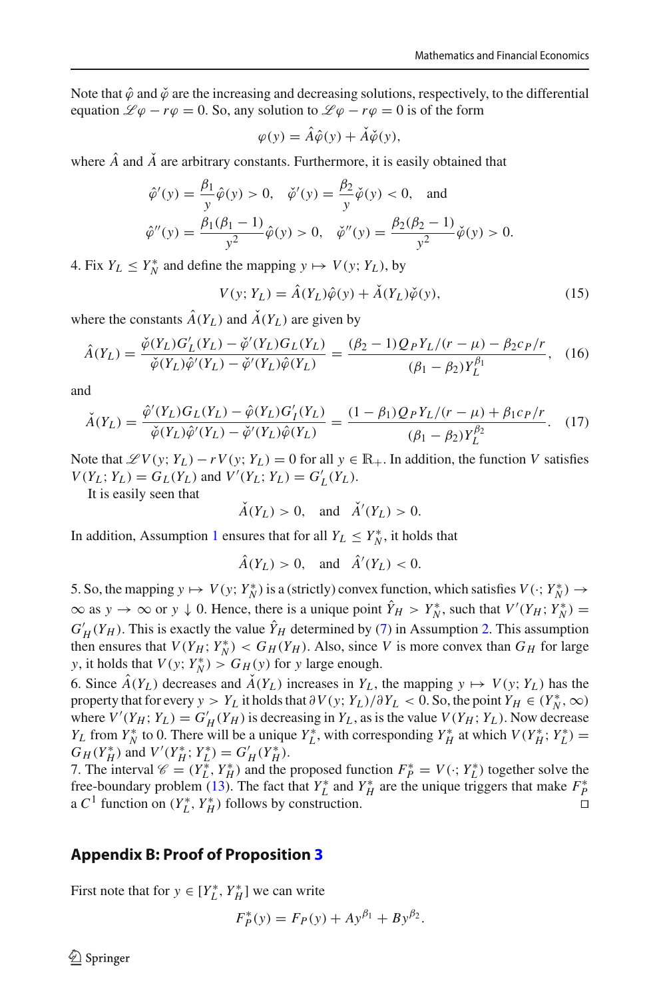Note that  $\hat{\varphi}$  and  $\check{\varphi}$  are the increasing and decreasing solutions, respectively, to the differential equation  $\mathcal{L}\varphi - r\varphi = 0$ . So, any solution to  $\mathcal{L}\varphi - r\varphi = 0$  is of the form

$$
\varphi(y) = \hat{A}\hat{\varphi}(y) + \check{A}\check{\varphi}(y),
$$

where  $\hat{A}$  and  $\hat{A}$  are arbitrary constants. Furthermore, it is easily obtained that

$$
\hat{\varphi}'(y) = \frac{\beta_1}{y}\hat{\varphi}(y) > 0, \quad \check{\varphi}'(y) = \frac{\beta_2}{y}\check{\varphi}(y) < 0, \quad \text{and}
$$
  

$$
\hat{\varphi}''(y) = \frac{\beta_1(\beta_1 - 1)}{y^2}\hat{\varphi}(y) > 0, \quad \check{\varphi}''(y) = \frac{\beta_2(\beta_2 - 1)}{y^2}\check{\varphi}(y) > 0.
$$

4. Fix  $Y_L \leq Y_N^*$  and define the mapping  $y \mapsto V(y; Y_L)$ , by

$$
V(y; Y_L) = \hat{A}(Y_L)\hat{\varphi}(y) + \check{A}(Y_L)\check{\varphi}(y),\tag{15}
$$

where the constants  $\hat{A}(Y_L)$  and  $\check{A}(Y_L)$  are given by

$$
\hat{A}(Y_L) = \frac{\check{\phi}(Y_L)G'_L(Y_L) - \check{\phi}'(Y_L)G_L(Y_L)}{\check{\phi}(Y_L)\hat{\phi}'(Y_L) - \check{\phi}'(Y_L)\hat{\phi}(Y_L)} = \frac{(\beta_2 - 1)Q_PY_L/(r - \mu) - \beta_2 c_P/r}{(\beta_1 - \beta_2)Y_L^{\beta_1}},
$$
(16)

and

$$
\check{A}(Y_L) = \frac{\hat{\varphi}'(Y_L)G_L(Y_L) - \hat{\varphi}(Y_L)G'_I(Y_L)}{\check{\varphi}(Y_L)\hat{\varphi}'(Y_L) - \check{\varphi}'(Y_L)\hat{\varphi}(Y_L)} = \frac{(1 - \beta_1)Q_PY_L/(r - \mu) + \beta_1 c_P/r}{(\beta_1 - \beta_2)Y_L^{\beta_2}}.
$$
(17)

Note that  $\mathscr{L}V(y; Y_L) - rV(y; Y_L) = 0$  for all  $y \in \mathbb{R}_+$ . In addition, the function *V* satisfies  $V(Y_L; Y_L) = G_L(Y_L)$  and  $V'(Y_L; Y_L) = G'_L(Y_L)$ .

It is easily seen that

$$
\check{A}(Y_L) > 0, \quad \text{and} \quad \check{A}'(Y_L) > 0.
$$

In addition, Assumption [1](#page-6-0) ensures that for all  $Y_L \leq Y_N^*$ , it holds that

$$
\hat{A}(Y_L) > 0, \quad \text{and} \quad \hat{A}'(Y_L) < 0.
$$

5. So, the mapping  $y \mapsto V(y; Y_N^*)$  is a (strictly) convex function, which satisfies  $V(\cdot; Y_N^*) \rightarrow$  $\infty$  as  $y \to \infty$  or  $y \downarrow 0$ . Hence, there is a unique point  $Y_H > Y_N^*$ , such that  $V'(Y_H; Y_N^*) =$  $G'_{H}(Y_{H})$ . This is exactly the value  $Y_{H}$  determined by [\(7\)](#page-7-2) in Assumption [2.](#page-6-2) This assumption then ensures that  $V(Y_H; Y_N^*) < G_H(Y_H)$ . Also, since *V* is more convex than  $G_H$  for large *y*, it holds that  $V(y; Y_N^*) > G_H(y)$  for *y* large enough.

6. Since  $\hat{A}(Y_L)$  decreases and  $\hat{A}(Y_L)$  increases in  $Y_L$ , the mapping  $y \mapsto V(y; Y_L)$  has the property that for every  $y > Y_L$  it holds that  $\partial V(y; Y_L)/\partial Y_L < 0$ . So, the point  $Y_H \in (Y_N^*, \infty)$ where  $V'(Y_H; Y_L) = G'_H(Y_H)$  is decreasing in  $Y_L$ , as is the value  $V(Y_H; Y_L)$ . Now decrease *Y*<sub>*L*</sub> from *Y*<sup>\*</sup><sub>*N*</sub></sub> is 0. There will be a unique *Y*<sup>\*</sup><sub>*L*</sub>, with corresponding *Y*<sup>\*</sup><sub>*H*</sub> at which *V*(*Y*<sup>\*</sup><sub>*H*</sub></sub>; *Y*<sup>\*</sup><sub>*L*</sub>) =  $G_H(Y_H^*)$  and  $V'(Y_H^*; Y_L^*) = G'_H(Y_H^*)$ .

7. The interval  $\mathcal{C} = (Y_L^*, Y_H^*)$  and the proposed function  $F_P^* = V(\cdot; Y_L^*)$  together solve the free-boundary problem [\(13\)](#page-17-0). The fact that  $Y_L^*$  and  $Y_H^*$  are the unique triggers that make  $F_P^*$ a  $C^1$  function on  $(Y_L^*, Y_H^*)$  follows by construction. □

#### **Appendix B: Proof of Proposition [3](#page-8-3)**

First note that for  $y \in [Y_L^*, Y_H^*]$  we can write

$$
F_P^*(y) = F_P(y) + Ay^{\beta_1} + By^{\beta_2}.
$$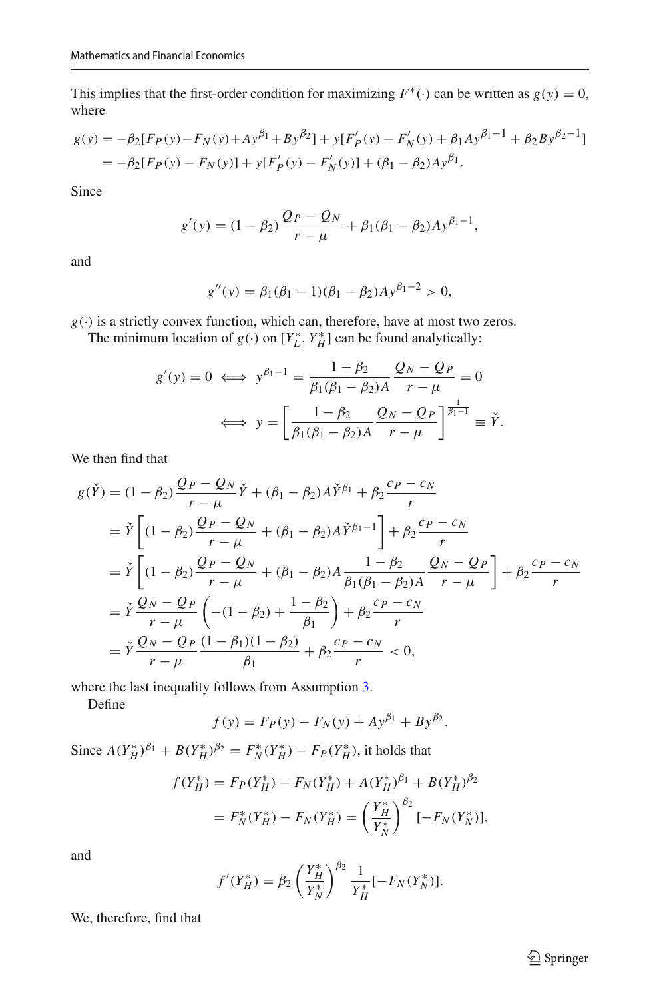This implies that the first-order condition for maximizing  $F^*(\cdot)$  can be written as  $g(y) = 0$ , where

$$
g(y) = -\beta_2 [F_P(y) - F_N(y) + Ay^{\beta_1} + By^{\beta_2}] + y[F'_P(y) - F'_N(y) + \beta_1 Ay^{\beta_1 - 1} + \beta_2 By^{\beta_2 - 1}]
$$
  
=  $-\beta_2 [F_P(y) - F_N(y)] + y[F'_P(y) - F'_N(y)] + (\beta_1 - \beta_2)Ay^{\beta_1}.$ 

Since

$$
g'(y) = (1 - \beta_2) \frac{Q_P - Q_N}{r - \mu} + \beta_1 (\beta_1 - \beta_2) A y^{\beta_1 - 1},
$$

and

$$
g''(y) = \beta_1(\beta_1 - 1)(\beta_1 - \beta_2)Ay^{\beta_1 - 2} > 0,
$$

*g*(·) is a strictly convex function, which can, therefore, have at most two zeros.

The minimum location of  $g(\cdot)$  on  $[Y_L^*, Y_H^*]$  can be found analytically:

$$
g'(y) = 0 \iff y^{\beta_1 - 1} = \frac{1 - \beta_2}{\beta_1(\beta_1 - \beta_2)A} \frac{Q_N - Q_P}{r - \mu} = 0
$$

$$
\iff y = \left[ \frac{1 - \beta_2}{\beta_1(\beta_1 - \beta_2)A} \frac{Q_N - Q_P}{r - \mu} \right]^{\frac{1}{\beta_1 - 1}} \equiv \check{Y}.
$$

We then find that

$$
g(\check{Y}) = (1 - \beta_2) \frac{Q_P - Q_N}{r - \mu} \check{Y} + (\beta_1 - \beta_2) A \check{Y}^{\beta_1} + \beta_2 \frac{c_P - c_N}{r}
$$
  
\n
$$
= \check{Y} \left[ (1 - \beta_2) \frac{Q_P - Q_N}{r - \mu} + (\beta_1 - \beta_2) A \check{Y}^{\beta_1 - 1} \right] + \beta_2 \frac{c_P - c_N}{r}
$$
  
\n
$$
= \check{Y} \left[ (1 - \beta_2) \frac{Q_P - Q_N}{r - \mu} + (\beta_1 - \beta_2) A \frac{1 - \beta_2}{\beta_1 (\beta_1 - \beta_2) A} \frac{Q_N - Q_P}{r - \mu} \right] + \beta_2 \frac{c_P - c_N}{r}
$$
  
\n
$$
= \check{Y} \frac{Q_N - Q_P}{r - \mu} \left( -(1 - \beta_2) + \frac{1 - \beta_2}{\beta_1} \right) + \beta_2 \frac{c_P - c_N}{r}
$$
  
\n
$$
= \check{Y} \frac{Q_N - Q_P}{r - \mu} \frac{(1 - \beta_1)(1 - \beta_2)}{\beta_1} + \beta_2 \frac{c_P - c_N}{r} < 0,
$$

where the last inequality follows from Assumption [3.](#page-8-1)

Define

$$
f(y) = F_P(y) - F_N(y) + Ay^{\beta_1} + By^{\beta_2}.
$$

Since  $A(Y_H^*)^{\beta_1} + B(Y_H^*)^{\beta_2} = F_N^*(Y_H^*) - F_P(Y_H^*)$ , it holds that

$$
f(Y_H^*) = F_P(Y_H^*) - F_N(Y_H^*) + A(Y_H^*)^{\beta_1} + B(Y_H^*)^{\beta_2}
$$
  
=  $F_N^*(Y_H^*) - F_N(Y_H^*) = \left(\frac{Y_H^*}{Y_N^*}\right)^{\beta_2} [-F_N(Y_N^*)],$ 

and

$$
f'(Y_H^*) = \beta_2 \left(\frac{Y_H^*}{Y_N^*}\right)^{\beta_2} \frac{1}{Y_H^*}[-F_N(Y_N^*)].
$$

We, therefore, find that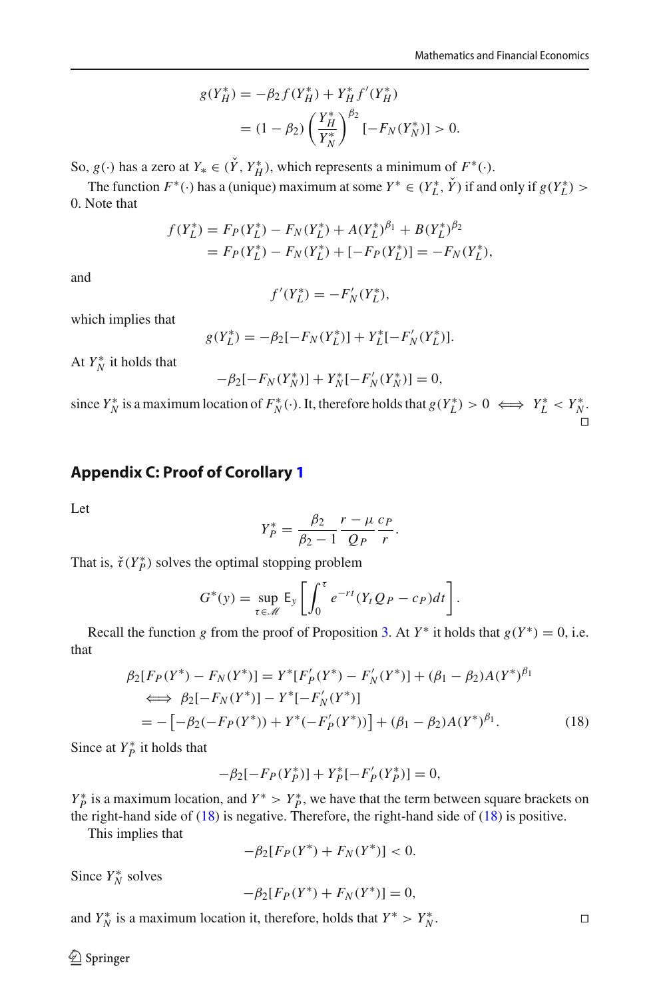$$
g(Y_H^*) = -\beta_2 f(Y_H^*) + Y_H^* f'(Y_H^*)
$$
  
=  $(1 - \beta_2) \left(\frac{Y_H^*}{Y_N^*}\right)^{\beta_2} [-F_N(Y_N^*)] > 0.$ 

So,  $g(\cdot)$  has a zero at  $Y_* \in (Y, Y_H^*)$ , which represents a minimum of  $F^*(\cdot)$ .

The function  $F^*(\cdot)$  has a (unique) maximum at some  $Y^* \in (Y_L^*, Y)$  if and only if  $g(Y_L^*)$ 0. Note that

$$
f(Y_L^*) = F_P(Y_L^*) - F_N(Y_L^*) + A(Y_L^*)^{\beta_1} + B(Y_L^*)^{\beta_2}
$$
  
=  $F_P(Y_L^*) - F_N(Y_L^*) + [-F_P(Y_L^*)] = -F_N(Y_L^*),$ 

and

$$
f'(Y_L^*) = -F'_N(Y_L^*),
$$

which implies that

$$
g(Y_L^*) = -\beta_2[-F_N(Y_L^*)] + Y_L^*[-F'_N(Y_L^*)].
$$

At  $Y_N^*$  it holds that

$$
-\beta_2[-F_N(Y_N^*)] + Y_N^*[-F_N'(Y_N^*)] = 0,
$$

since  $Y_N^*$  is a maximum location of  $F_N^*(\cdot)$ . It, therefore holds that  $g(Y_L^*) > 0 \iff Y_L^* < Y_N^*$ . ⊓⊔

## **Appendix C: Proof of Corollary [1](#page-8-4)**

Let

<span id="page-20-0"></span>
$$
Y_P^* = \frac{\beta_2}{\beta_2 - 1} \frac{r - \mu}{Q_P} \frac{c_P}{r}.
$$

That is,  $\check{\tau}(Y_P^*)$  solves the optimal stopping problem

$$
G^*(y) = \sup_{\tau \in \mathcal{M}} \mathsf{E}_y \left[ \int_0^{\tau} e^{-rt} (Y_t Q_P - c_P) dt \right].
$$

Recall the function *g* from the proof of Proposition [3.](#page-8-3) At  $Y^*$  it holds that  $g(Y^*) = 0$ , i.e. that

$$
\beta_2[F_P(Y^*) - F_N(Y^*)] = Y^*[F'_P(Y^*) - F'_N(Y^*)] + (\beta_1 - \beta_2)A(Y^*)^{\beta_1}
$$
  
\n
$$
\iff \beta_2[-F_N(Y^*)] - Y^*[-F'_N(Y^*)]
$$
  
\n
$$
= -[-\beta_2(-F_P(Y^*)) + Y^*(-F'_P(Y^*))] + (\beta_1 - \beta_2)A(Y^*)^{\beta_1}.
$$
\n(18)

Since at  $Y_P^*$  it holds that

$$
-\beta_2[-F_P(Y_P^*)] + Y_P^*[-F'_P(Y_P^*)] = 0,
$$

 $Y_P^*$  is a maximum location, and  $Y^* > Y_P^*$ , we have that the term between square brackets on the right-hand side of  $(18)$  is negative. Therefore, the right-hand side of  $(18)$  is positive.

This implies that

$$
-\beta_2[F_P(Y^*) + F_N(Y^*)] < 0.
$$

Since *Y*<sup>\*</sup><sub>*N*</sub></sub> solves

$$
-\beta_2[F_P(Y^*) + F_N(Y^*)] = 0,
$$

and  $Y_N^*$  is a maximum location it, therefore, holds that  $Y^* > Y_N^*$ 

 $\bigcirc$  Springer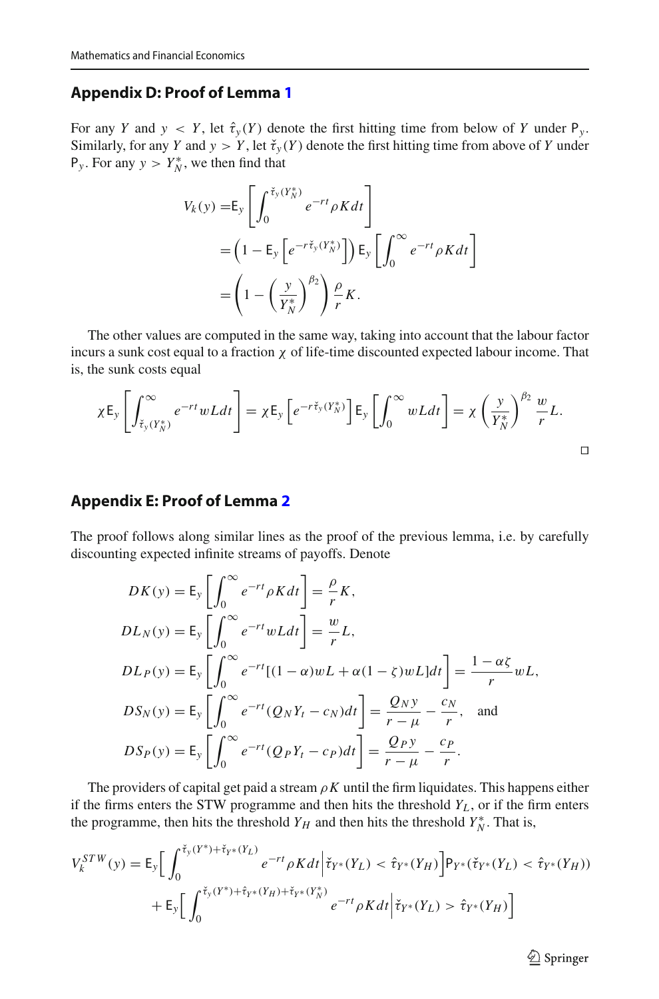#### **Appendix D: Proof of Lemma [1](#page-13-2)**

For any *Y* and  $y < Y$ , let  $\hat{\tau}_y(Y)$  denote the first hitting time from below of *Y* under  $P_y$ . Similarly, for any *Y* and  $y > Y$ , let  $\check{\tau}_y(Y)$  denote the first hitting time from above of *Y* under  $P_y$ . For any  $y > Y_N^*$ , we then find that

$$
V_k(y) = E_y \left[ \int_0^{\tilde{\tau}_y(Y_N^*)} e^{-rt} \rho K dt \right]
$$
  
=  $\left(1 - E_y \left[ e^{-r \tilde{\tau}_y(Y_N^*)} \right] \right) E_y \left[ \int_0^\infty e^{-rt} \rho K dt \right]$   
=  $\left(1 - \left(\frac{y}{Y_N^*}\right)^{\beta_2} \right) \frac{\rho}{r} K.$ 

The other values are computed in the same way, taking into account that the labour factor incurs a sunk cost equal to a fraction  $\chi$  of life-time discounted expected labour income. That is, the sunk costs equal

$$
\chi E_y \left[ \int_{\tilde{\tau}_y(Y_N^*)}^{\infty} e^{-rt} wL dt \right] = \chi E_y \left[ e^{-r\tilde{\tau}_y(Y_N^*)} \right] E_y \left[ \int_0^{\infty} wL dt \right] = \chi \left( \frac{y}{Y_N^*} \right)^{\beta_2} \frac{w}{r} L.
$$

## **Appendix E: Proof of Lemma [2](#page-14-0)**

The proof follows along similar lines as the proof of the previous lemma, i.e. by carefully discounting expected infinite streams of payoffs. Denote

$$
DK(y) = E_y \left[ \int_0^\infty e^{-rt} \rho K dt \right] = \frac{\rho}{r} K,
$$
  
\n
$$
DL_N(y) = E_y \left[ \int_0^\infty e^{-rt} wL dt \right] = \frac{w}{r} L,
$$
  
\n
$$
DL_P(y) = E_y \left[ \int_0^\infty e^{-rt} [(1 - \alpha)wL + \alpha(1 - \zeta)wL] dt \right] = \frac{1 - \alpha \zeta}{r} wL,
$$
  
\n
$$
DS_N(y) = E_y \left[ \int_0^\infty e^{-rt} (Q_N Y_t - c_N) dt \right] = \frac{Q_N y}{r - \mu} - \frac{c_N}{r},
$$
 and  
\n
$$
DS_P(y) = E_y \left[ \int_0^\infty e^{-rt} (Q_P Y_t - c_P) dt \right] = \frac{Q_P y}{r - \mu} - \frac{c_P}{r}.
$$

The providers of capital get paid a stream  $\rho K$  until the firm liquidates. This happens either if the firms enters the STW programme and then hits the threshold *Y<sup>L</sup>* , or if the firm enters the programme, then hits the threshold  $Y_H$  and then hits the threshold  $Y_N^*$ . That is,

$$
V_k^{STW}(y) = \mathsf{E}_y \Big[ \int_0^{\check{\tau}_y(Y^*) + \check{\tau}_{Y^*}(Y_L)} e^{-rt} \rho K dt \Big| \check{\tau}_{Y^*}(Y_L) < \hat{\tau}_{Y^*}(Y_H) \Big] \mathsf{P}_{Y^*}(\check{\tau}_{Y^*}(Y_L) < \hat{\tau}_{Y^*}(Y_H)) + \mathsf{E}_y \Big[ \int_0^{\check{\tau}_y(Y^*) + \hat{\tau}_{Y^*}(Y_H) + \check{\tau}_{Y^*}(Y_N^*)} e^{-rt} \rho K dt \Big| \check{\tau}_{Y^*}(Y_L) > \hat{\tau}_{Y^*}(Y_H) \Big]
$$

 $\hat{\mathfrak{D}}$  Springer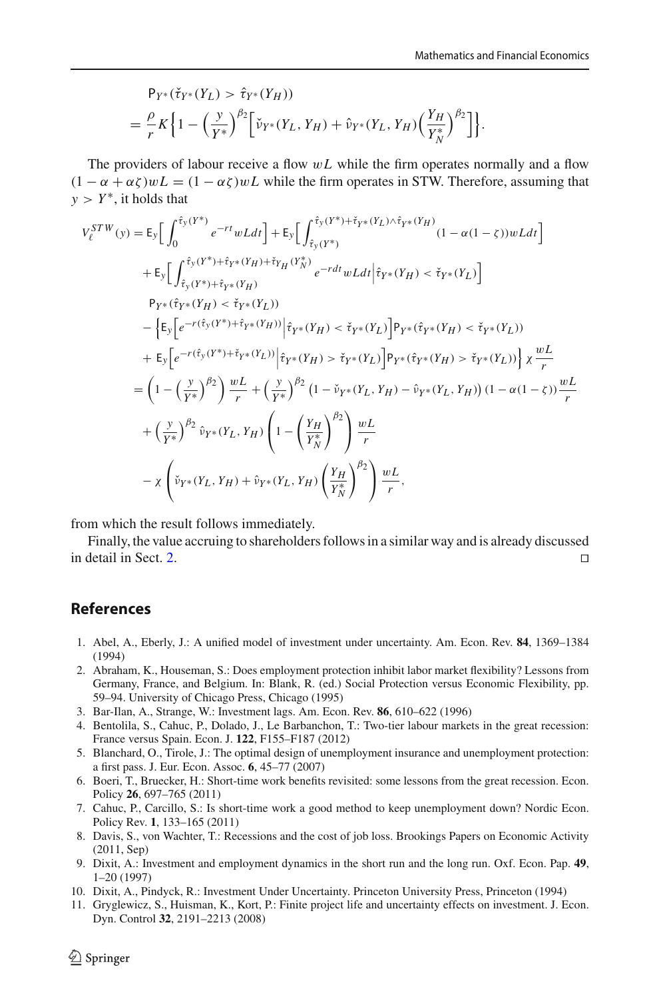$$
P_{Y^*}(\check{\tau}_{Y^*}(Y_L) > \hat{\tau}_{Y^*}(Y_H))
$$
  
=  $\frac{\rho}{r} K \Big\{ 1 - \Big(\frac{y}{Y^*}\Big)^{\beta_2} \Big[ \check{\nu}_{Y^*}(Y_L, Y_H) + \hat{\nu}_{Y^*}(Y_L, Y_H) \Big(\frac{Y_H}{Y_N^*}\Big)^{\beta_2} \Big] \Big\}.$ 

The providers of labour receive a flow  $wL$  while the firm operates normally and a flow  $(1 - \alpha + \alpha \zeta)wL = (1 - \alpha \zeta)wL$  while the firm operates in STW. Therefore, assuming that *y* > *Y*<sup>\*</sup>, it holds that

$$
V_{\ell}^{STW}(y) = E_{y} \Big[ \int_{0}^{\hat{\tau}_{y}(Y^{*})} e^{-rt}wLdt \Big] + E_{y} \Big[ \int_{\hat{\tau}_{y}(Y^{*})}^{\hat{\tau}_{y}(Y^{*}) + \hat{\tau}_{Y^{*}}(Y_{L}) \wedge \hat{\tau}_{Y^{*}}(Y_{H})} (1 - \alpha(1 - \xi))wLdt \Big] + E_{y} \Big[ \int_{\hat{\tau}_{y}(Y^{*}) + \hat{\tau}_{Y^{*}}(Y_{H}) + \check{\tau}_{Y_{H}}(Y_{N}^{*})} e^{-rdt}wLdt \Big| \hat{\tau}_{Y^{*}}(Y_{H}) < \check{\tau}_{Y^{*}}(Y_{L}) \Big] P_{Y^{*}}(\hat{\tau}_{Y^{*}}(Y_{H}) < \check{\tau}_{Y^{*}}(Y_{L})) - \Big[ E_{y} \Big[ e^{-r(\hat{\tau}_{y}(Y^{*}) + \hat{\tau}_{Y^{*}}(Y_{H}))} \Big| \hat{\tau}_{Y^{*}}(Y_{H}) < \check{\tau}_{Y^{*}}(Y_{L}) \Big] P_{Y^{*}}(\hat{\tau}_{Y^{*}}(Y_{H}) < \check{\tau}_{Y^{*}}(Y_{L})) + E_{y} \Big[ e^{-r(\hat{\tau}_{y}(Y^{*}) + \check{\tau}_{Y^{*}}(Y_{L}))} \Big| \hat{\tau}_{Y^{*}}(Y_{H}) > \check{\tau}_{Y^{*}}(Y_{L}) \Big] P_{Y^{*}}(\hat{\tau}_{Y^{*}}(Y_{H}) > \check{\tau}_{Y^{*}}(Y_{L})) \Big\} \times \frac{wL}{r} = \Big( 1 - \Big( \frac{y}{Y^{*}} \Big)^{\beta_{2}} \Big) \frac{w}{r} + \Big( \frac{y}{Y^{*}} \Big)^{\beta_{2}} \Big( 1 - \check{v}_{Y^{*}}(Y_{L}, Y_{H}) - \hat{v}_{Y^{*}}(Y_{L}, Y_{H}) \Big) \Big( 1 - \alpha(1 - \xi) \Big) \frac{wL}{r} + \Big( \frac{y}{Y^{*}} \Big)^{\beta_{2}} \hat{v}_{Y^{*}}(Y_{L}, Y_{H}) \Bigg( 1 - \Big( \frac{Y_{H}}{Y^{*}_{N}} \Big)^{\beta_{2}} \Bigg) \frac{wL}{r} - \chi \Big( \check{v}_{Y^{*}}(Y_{L}, Y_{H}) + \hat{v}_{Y^{*
$$

from which the result follows immediately.

Finally, the value accruing to shareholders follows in a similar way and is already discussed in detail in Sect. [2.](#page-4-0) ⊓⊔

#### **References**

- <span id="page-22-5"></span>1. Abel, A., Eberly, J.: A unified model of investment under uncertainty. Am. Econ. Rev. **84**, 1369–1384 (1994)
- <span id="page-22-0"></span>2. Abraham, K., Houseman, S.: Does employment protection inhibit labor market flexibility? Lessons from Germany, France, and Belgium. In: Blank, R. (ed.) Social Protection versus Economic Flexibility, pp. 59–94. University of Chicago Press, Chicago (1995)
- <span id="page-22-7"></span>3. Bar-Ilan, A., Strange, W.: Investment lags. Am. Econ. Rev. **86**, 610–622 (1996)
- <span id="page-22-8"></span>4. Bentolila, S., Cahuc, P., Dolado, J., Le Barbanchon, T.: Two-tier labour markets in the great recession: France versus Spain. Econ. J. **122**, F155–F187 (2012)
- <span id="page-22-9"></span>5. Blanchard, O., Tirole, J.: The optimal design of unemployment insurance and unemployment protection: a first pass. J. Eur. Econ. Assoc. **6**, 45–77 (2007)
- <span id="page-22-3"></span>6. Boeri, T., Bruecker, H.: Short-time work benefits revisited: some lessons from the great recession. Econ. Policy **26**, 697–765 (2011)
- <span id="page-22-1"></span>7. Cahuc, P., Carcillo, S.: Is short-time work a good method to keep unemployment down? Nordic Econ. Policy Rev. **1**, 133–165 (2011)
- <span id="page-22-2"></span>8. Davis, S., von Wachter, T.: Recessions and the cost of job loss. Brookings Papers on Economic Activity (2011, Sep)
- <span id="page-22-6"></span>9. Dixit, A.: Investment and employment dynamics in the short run and the long run. Oxf. Econ. Pap. **49**, 1–20 (1997)
- <span id="page-22-4"></span>10. Dixit, A., Pindyck, R.: Investment Under Uncertainty. Princeton University Press, Princeton (1994)
- <span id="page-22-10"></span>11. Gryglewicz, S., Huisman, K., Kort, P.: Finite project life and uncertainty effects on investment. J. Econ. Dyn. Control **32**, 2191–2213 (2008)